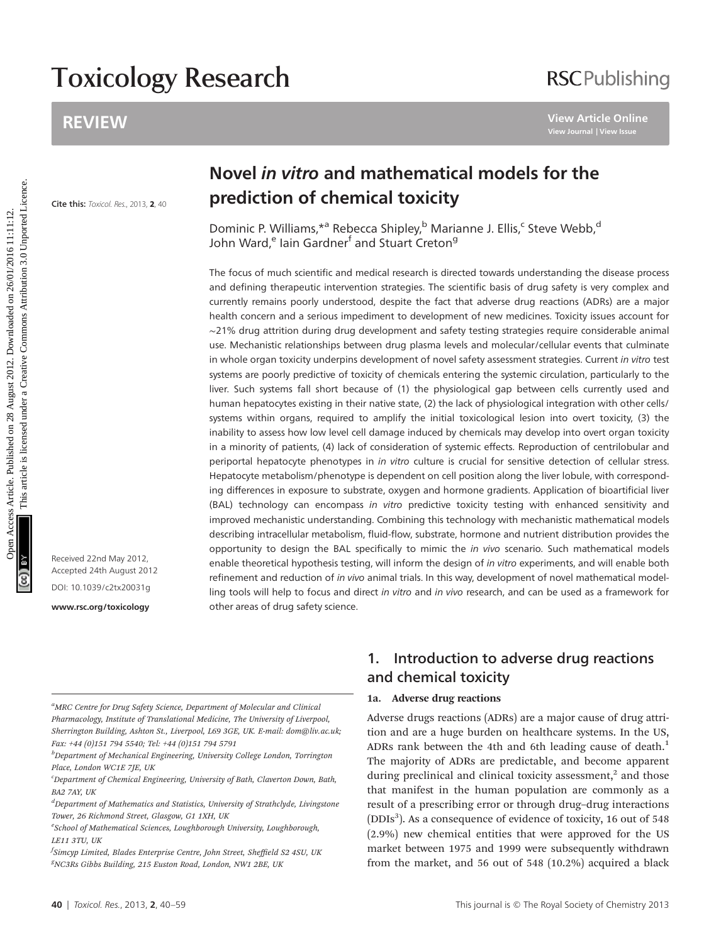# Toxicology Research

### REVIEW

## **RSCPublishing**

**Cite this:** Toxicol. Res., 2013, **2**, 40

Received 22nd May 2012, Accepted 24th August 2012 DOI: 10.1039/c2tx20031g

<www.rsc.org/toxicology>

## Novel in vitro and mathematical models for the prediction of chemical toxicity

Dominic P. Williams, \*ª Rebecca Shipley, b Marianne J. Ellis, Csteve Webb, d John Ward,<sup>e</sup> Iain Gardner<sup>f</sup> and Stuart Creton<sup>g</sup>

The focus of much scientific and medical research is directed towards understanding the disease process and defining therapeutic intervention strategies. The scientific basis of drug safety is very complex and currently remains poorly understood, despite the fact that adverse drug reactions (ADRs) are a major health concern and a serious impediment to development of new medicines. Toxicity issues account for ∼21% drug attrition during drug development and safety testing strategies require considerable animal use. Mechanistic relationships between drug plasma levels and molecular/cellular events that culminate in whole organ toxicity underpins development of novel safety assessment strategies. Current in vitro test systems are poorly predictive of toxicity of chemicals entering the systemic circulation, particularly to the liver. Such systems fall short because of (1) the physiological gap between cells currently used and human hepatocytes existing in their native state, (2) the lack of physiological integration with other cells/ systems within organs, required to amplify the initial toxicological lesion into overt toxicity, (3) the inability to assess how low level cell damage induced by chemicals may develop into overt organ toxicity in a minority of patients, (4) lack of consideration of systemic effects. Reproduction of centrilobular and periportal hepatocyte phenotypes in in vitro culture is crucial for sensitive detection of cellular stress. Hepatocyte metabolism/phenotype is dependent on cell position along the liver lobule, with corresponding differences in exposure to substrate, oxygen and hormone gradients. Application of bioartificial liver (BAL) technology can encompass in vitro predictive toxicity testing with enhanced sensitivity and improved mechanistic understanding. Combining this technology with mechanistic mathematical models describing intracellular metabolism, fluid-flow, substrate, hormone and nutrient distribution provides the opportunity to design the BAL specifically to mimic the in vivo scenario. Such mathematical models enable theoretical hypothesis testing, will inform the design of in vitro experiments, and will enable both refinement and reduction of in vivo animal trials. In this way, development of novel mathematical modelling tools will help to focus and direct in vitro and in vivo research, and can be used as a framework for other areas of drug safety science. REVIEW USING UNITED CHEMICAL CONTENT USING UNITED UNITED CREATED IN the content of the content of the content of the state of the state of the state of the state of the state of the state of the state of the state of Sing

<sup>a</sup>MRC Centre for Drug Safety Science, Department of Molecular and Clinical Pharmacology, Institute of Translational Medicine, The University of Liverpool, Sherrington Building, Ashton St., Liverpool, L69 3GE, UK. E-mail: dom@liv.ac.uk; Fax: +44 (0)151 794 5540; Tel: +44 (0)151 794 5791

<sup>b</sup>Department of Mechanical Engineering, University College London, Torrington Place, London WC1E 7IE, UK

<sup>e</sup>School of Mathematical Sciences, Loughborough University, Loughborough, LE11 3TU, UK

<sup>f</sup>Simcyp Limited, Blades Enterprise Centre, John Street, Sheffield S2 4SU, UK g NC3Rs Gibbs Building, 215 Euston Road, London, NW1 2BE, UK

### 1. Introduction to adverse drug reactions and chemical toxicity

#### 1a. Adverse drug reactions

Adverse drugs reactions (ADRs) are a major cause of drug attrition and are a huge burden on healthcare systems. In the US, ADRs rank between the 4th and 6th leading cause of death.<sup>1</sup> The majority of ADRs are predictable, and become apparent during preclinical and clinical toxicity assessment, $<sup>2</sup>$  and those</sup> that manifest in the human population are commonly as a result of a prescribing error or through drug–drug interactions (DDIs<sup>3</sup>). As a consequence of evidence of toxicity, 16 out of 548 (2.9%) new chemical entities that were approved for the US market between 1975 and 1999 were subsequently withdrawn from the market, and 56 out of 548 (10.2%) acquired a black

<sup>&</sup>lt;sup>c</sup>Department of Chemical Engineering, University of Bath, Claverton Down, Bath, BA2 7AY, UK

<sup>&</sup>lt;sup>d</sup>Department of Mathematics and Statistics, University of Strathclyde, Livingstone Tower, 26 Richmond Street, Glasgow, G1 1XH, UK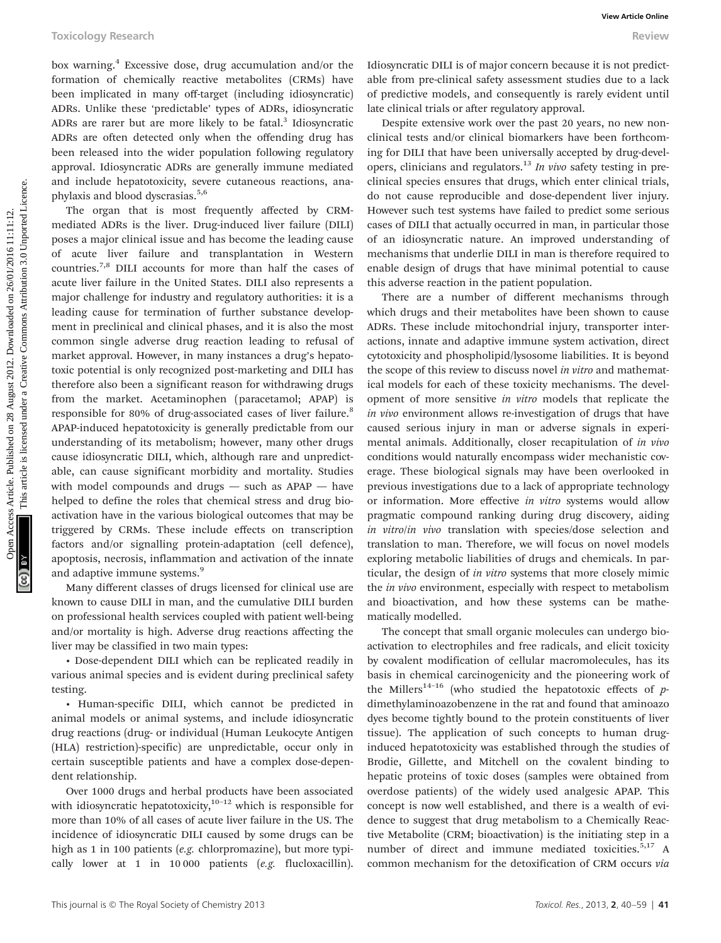box warning.4 Excessive dose, drug accumulation and/or the formation of chemically reactive metabolites (CRMs) have been implicated in many off-target (including idiosyncratic) ADRs. Unlike these 'predictable' types of ADRs, idiosyncratic ADRs are rarer but are more likely to be fatal.<sup>3</sup> Idiosyncratic ADRs are often detected only when the offending drug has been released into the wider population following regulatory approval. Idiosyncratic ADRs are generally immune mediated and include hepatotoxicity, severe cutaneous reactions, anaphylaxis and blood dyscrasias.<sup>5,6</sup>

The organ that is most frequently affected by CRMmediated ADRs is the liver. Drug-induced liver failure (DILI) poses a major clinical issue and has become the leading cause of acute liver failure and transplantation in Western countries.7,8 DILI accounts for more than half the cases of acute liver failure in the United States. DILI also represents a major challenge for industry and regulatory authorities: it is a leading cause for termination of further substance development in preclinical and clinical phases, and it is also the most common single adverse drug reaction leading to refusal of market approval. However, in many instances a drug's hepatotoxic potential is only recognized post-marketing and DILI has therefore also been a significant reason for withdrawing drugs from the market. Acetaminophen (paracetamol; APAP) is responsible for 80% of drug-associated cases of liver failure.<sup>8</sup> APAP-induced hepatotoxicity is generally predictable from our understanding of its metabolism; however, many other drugs cause idiosyncratic DILI, which, although rare and unpredictable, can cause significant morbidity and mortality. Studies with model compounds and drugs — such as APAP — have helped to define the roles that chemical stress and drug bioactivation have in the various biological outcomes that may be triggered by CRMs. These include effects on transcription factors and/or signalling protein-adaptation (cell defence), apoptosis, necrosis, inflammation and activation of the innate and adaptive immune systems.<sup>9</sup> Tookiclogy Research **because Article** 2012. Tookicle and the constrained on 2012. The state and the model of the state and the model of the state and the state and the state and the state and the state and the state and th

Many different classes of drugs licensed for clinical use are known to cause DILI in man, and the cumulative DILI burden on professional health services coupled with patient well-being and/or mortality is high. Adverse drug reactions affecting the liver may be classified in two main types:

• Dose-dependent DILI which can be replicated readily in various animal species and is evident during preclinical safety testing.

• Human-specific DILI, which cannot be predicted in animal models or animal systems, and include idiosyncratic drug reactions (drug- or individual (Human Leukocyte Antigen (HLA) restriction)-specific) are unpredictable, occur only in certain susceptible patients and have a complex dose-dependent relationship.

Over 1000 drugs and herbal products have been associated with idiosyncratic hepatotoxicity, $10^{-12}$  which is responsible for more than 10% of all cases of acute liver failure in the US. The incidence of idiosyncratic DILI caused by some drugs can be high as 1 in 100 patients (e.g. chlorpromazine), but more typically lower at 1 in 10 000 patients (e.g. flucloxacillin).

Idiosyncratic DILI is of major concern because it is not predictable from pre-clinical safety assessment studies due to a lack of predictive models, and consequently is rarely evident until late clinical trials or after regulatory approval.

Despite extensive work over the past 20 years, no new nonclinical tests and/or clinical biomarkers have been forthcoming for DILI that have been universally accepted by drug-developers, clinicians and regulators.<sup>13</sup> In vivo safety testing in preclinical species ensures that drugs, which enter clinical trials, do not cause reproducible and dose-dependent liver injury. However such test systems have failed to predict some serious cases of DILI that actually occurred in man, in particular those of an idiosyncratic nature. An improved understanding of mechanisms that underlie DILI in man is therefore required to enable design of drugs that have minimal potential to cause this adverse reaction in the patient population.

There are a number of different mechanisms through which drugs and their metabolites have been shown to cause ADRs. These include mitochondrial injury, transporter interactions, innate and adaptive immune system activation, direct cytotoxicity and phospholipid/lysosome liabilities. It is beyond the scope of this review to discuss novel in vitro and mathematical models for each of these toxicity mechanisms. The development of more sensitive in vitro models that replicate the in vivo environment allows re-investigation of drugs that have caused serious injury in man or adverse signals in experimental animals. Additionally, closer recapitulation of in vivo conditions would naturally encompass wider mechanistic coverage. These biological signals may have been overlooked in previous investigations due to a lack of appropriate technology or information. More effective in vitro systems would allow pragmatic compound ranking during drug discovery, aiding in vitro/in vivo translation with species/dose selection and translation to man. Therefore, we will focus on novel models exploring metabolic liabilities of drugs and chemicals. In particular, the design of in vitro systems that more closely mimic the *in vivo* environment, especially with respect to metabolism and bioactivation, and how these systems can be mathematically modelled.

The concept that small organic molecules can undergo bioactivation to electrophiles and free radicals, and elicit toxicity by covalent modification of cellular macromolecules, has its basis in chemical carcinogenicity and the pioneering work of the Millers<sup>14-16</sup> (who studied the hepatotoxic effects of  $p$ dimethylaminoazobenzene in the rat and found that aminoazo dyes become tightly bound to the protein constituents of liver tissue). The application of such concepts to human druginduced hepatotoxicity was established through the studies of Brodie, Gillette, and Mitchell on the covalent binding to hepatic proteins of toxic doses (samples were obtained from overdose patients) of the widely used analgesic APAP. This concept is now well established, and there is a wealth of evidence to suggest that drug metabolism to a Chemically Reactive Metabolite (CRM; bioactivation) is the initiating step in a number of direct and immune mediated toxicities.<sup>5,17</sup> A common mechanism for the detoxification of CRM occurs via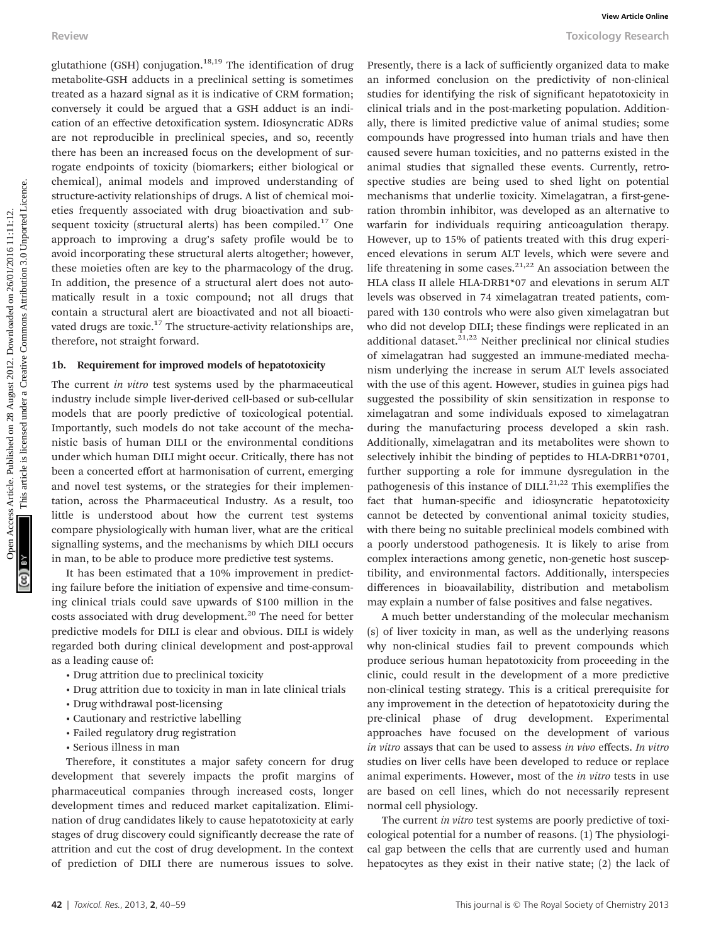glutathione (GSH) conjugation.<sup>18,19</sup> The identification of drug metabolite-GSH adducts in a preclinical setting is sometimes treated as a hazard signal as it is indicative of CRM formation; conversely it could be argued that a GSH adduct is an indication of an effective detoxification system. Idiosyncratic ADRs are not reproducible in preclinical species, and so, recently there has been an increased focus on the development of surrogate endpoints of toxicity (biomarkers; either biological or chemical), animal models and improved understanding of structure-activity relationships of drugs. A list of chemical moieties frequently associated with drug bioactivation and subsequent toxicity (structural alerts) has been compiled. $17$  One approach to improving a drug's safety profile would be to avoid incorporating these structural alerts altogether; however, these moieties often are key to the pharmacology of the drug. In addition, the presence of a structural alert does not automatically result in a toxic compound; not all drugs that contain a structural alert are bioactivated and not all bioactivated drugs are toxic.<sup>17</sup> The structure-activity relationships are, therefore, not straight forward.

#### 1b. Requirement for improved models of hepatotoxicity

The current in vitro test systems used by the pharmaceutical industry include simple liver-derived cell-based or sub-cellular models that are poorly predictive of toxicological potential. Importantly, such models do not take account of the mechanistic basis of human DILI or the environmental conditions under which human DILI might occur. Critically, there has not been a concerted effort at harmonisation of current, emerging and novel test systems, or the strategies for their implementation, across the Pharmaceutical Industry. As a result, too little is understood about how the current test systems compare physiologically with human liver, what are the critical signalling systems, and the mechanisms by which DILI occurs in man, to be able to produce more predictive test systems.

It has been estimated that a 10% improvement in predicting failure before the initiation of expensive and time-consuming clinical trials could save upwards of \$100 million in the costs associated with drug development.<sup>20</sup> The need for better predictive models for DILI is clear and obvious. DILI is widely regarded both during clinical development and post-approval as a leading cause of:

- Drug attrition due to preclinical toxicity
- Drug attrition due to toxicity in man in late clinical trials
- Drug withdrawal post-licensing
- Cautionary and restrictive labelling
- Failed regulatory drug registration
- Serious illness in man

Therefore, it constitutes a major safety concern for drug development that severely impacts the profit margins of pharmaceutical companies through increased costs, longer development times and reduced market capitalization. Elimination of drug candidates likely to cause hepatotoxicity at early stages of drug discovery could significantly decrease the rate of attrition and cut the cost of drug development. In the context of prediction of DILI there are numerous issues to solve.

Presently, there is a lack of sufficiently organized data to make an informed conclusion on the predictivity of non-clinical studies for identifying the risk of significant hepatotoxicity in clinical trials and in the post-marketing population. Additionally, there is limited predictive value of animal studies; some compounds have progressed into human trials and have then caused severe human toxicities, and no patterns existed in the animal studies that signalled these events. Currently, retrospective studies are being used to shed light on potential mechanisms that underlie toxicity. Ximelagatran, a first-generation thrombin inhibitor, was developed as an alternative to warfarin for individuals requiring anticoagulation therapy. However, up to 15% of patients treated with this drug experienced elevations in serum ALT levels, which were severe and life threatening in some cases. $21,22$  An association between the HLA class II allele HLA-DRB1\*07 and elevations in serum ALT levels was observed in 74 ximelagatran treated patients, compared with 130 controls who were also given ximelagatran but who did not develop DILI; these findings were replicated in an additional dataset. $21,22$  Neither preclinical nor clinical studies of ximelagatran had suggested an immune-mediated mechanism underlying the increase in serum ALT levels associated with the use of this agent. However, studies in guinea pigs had suggested the possibility of skin sensitization in response to ximelagatran and some individuals exposed to ximelagatran during the manufacturing process developed a skin rash. Additionally, ximelagatran and its metabolites were shown to selectively inhibit the binding of peptides to HLA-DRB1\*0701, further supporting a role for immune dysregulation in the pathogenesis of this instance of DILI.<sup>21,22</sup> This exemplifies the fact that human-specific and idiosyncratic hepatotoxicity cannot be detected by conventional animal toxicity studies, with there being no suitable preclinical models combined with a poorly understood pathogenesis. It is likely to arise from complex interactions among genetic, non-genetic host susceptibility, and environmental factors. Additionally, interspecies differences in bioavailability, distribution and metabolism may explain a number of false positives and false negatives. Review Towiew Towiew Towiew Controller (SEE) conjugation.<sup>1430</sup> The dentistic article is are presented under the presented under the proportion of the proportion and the proportion of the proportion and the proportion of t

> A much better understanding of the molecular mechanism (s) of liver toxicity in man, as well as the underlying reasons why non-clinical studies fail to prevent compounds which produce serious human hepatotoxicity from proceeding in the clinic, could result in the development of a more predictive non-clinical testing strategy. This is a critical prerequisite for any improvement in the detection of hepatotoxicity during the pre-clinical phase of drug development. Experimental approaches have focused on the development of various in vitro assays that can be used to assess in vivo effects. In vitro studies on liver cells have been developed to reduce or replace animal experiments. However, most of the in vitro tests in use are based on cell lines, which do not necessarily represent normal cell physiology.

> The current in vitro test systems are poorly predictive of toxicological potential for a number of reasons. (1) The physiological gap between the cells that are currently used and human hepatocytes as they exist in their native state; (2) the lack of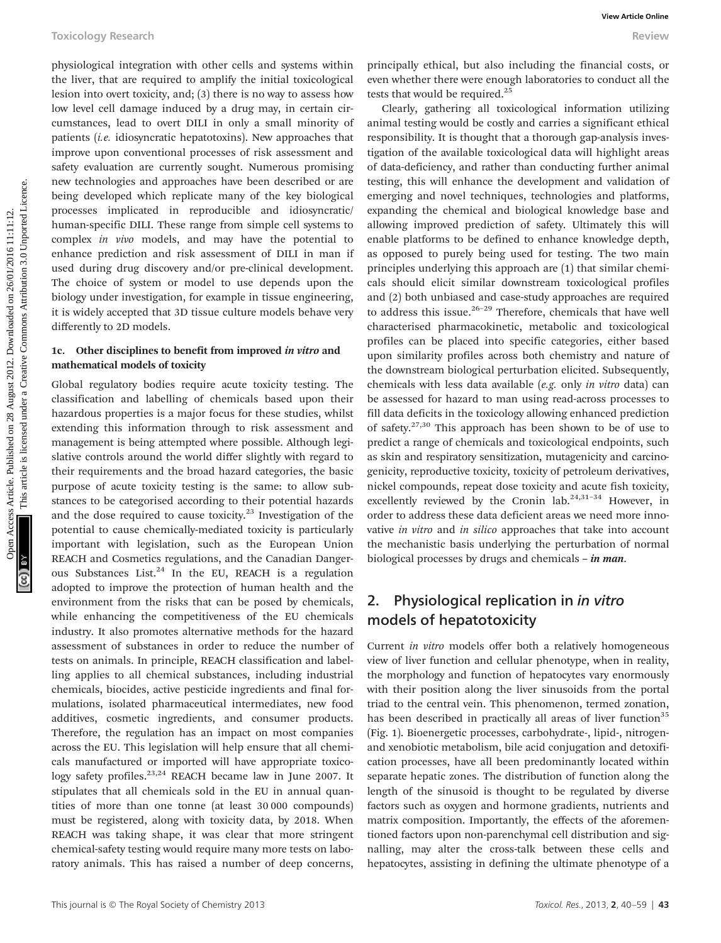physiological integration with other cells and systems within the liver, that are required to amplify the initial toxicological lesion into overt toxicity, and; (3) there is no way to assess how low level cell damage induced by a drug may, in certain circumstances, lead to overt DILI in only a small minority of patients (i.e. idiosyncratic hepatotoxins). New approaches that improve upon conventional processes of risk assessment and safety evaluation are currently sought. Numerous promising new technologies and approaches have been described or are being developed which replicate many of the key biological processes implicated in reproducible and idiosyncratic/ human-specific DILI. These range from simple cell systems to complex in vivo models, and may have the potential to enhance prediction and risk assessment of DILI in man if used during drug discovery and/or pre-clinical development. The choice of system or model to use depends upon the biology under investigation, for example in tissue engineering, it is widely accepted that 3D tissue culture models behave very differently to 2D models.

#### 1c. Other disciplines to benefit from improved in vitro and mathematical models of toxicity

Global regulatory bodies require acute toxicity testing. The classification and labelling of chemicals based upon their hazardous properties is a major focus for these studies, whilst extending this information through to risk assessment and management is being attempted where possible. Although legislative controls around the world differ slightly with regard to their requirements and the broad hazard categories, the basic purpose of acute toxicity testing is the same: to allow substances to be categorised according to their potential hazards and the dose required to cause toxicity. $^{23}$  Investigation of the potential to cause chemically-mediated toxicity is particularly important with legislation, such as the European Union REACH and Cosmetics regulations, and the Canadian Dangerous Substances List. $24$  In the EU, REACH is a regulation adopted to improve the protection of human health and the environment from the risks that can be posed by chemicals, while enhancing the competitiveness of the EU chemicals industry. It also promotes alternative methods for the hazard assessment of substances in order to reduce the number of tests on animals. In principle, REACH classification and labelling applies to all chemical substances, including industrial chemicals, biocides, active pesticide ingredients and final formulations, isolated pharmaceutical intermediates, new food additives, cosmetic ingredients, and consumer products. Therefore, the regulation has an impact on most companies across the EU. This legislation will help ensure that all chemicals manufactured or imported will have appropriate toxicology safety profiles. $23,24$  REACH became law in June 2007. It stipulates that all chemicals sold in the EU in annual quantities of more than one tonne (at least 30 000 compounds) must be registered, along with toxicity data, by 2018. When REACH was taking shape, it was clear that more stringent chemical-safety testing would require many more tests on laboratory animals. This has raised a number of deep concerns,

principally ethical, but also including the financial costs, or even whether there were enough laboratories to conduct all the tests that would be required.<sup>25</sup>

Clearly, gathering all toxicological information utilizing animal testing would be costly and carries a significant ethical responsibility. It is thought that a thorough gap-analysis investigation of the available toxicological data will highlight areas of data-deficiency, and rather than conducting further animal testing, this will enhance the development and validation of emerging and novel techniques, technologies and platforms, expanding the chemical and biological knowledge base and allowing improved prediction of safety. Ultimately this will enable platforms to be defined to enhance knowledge depth, as opposed to purely being used for testing. The two main principles underlying this approach are (1) that similar chemicals should elicit similar downstream toxicological profiles and (2) both unbiased and case-study approaches are required to address this issue. $26-29$  Therefore, chemicals that have well characterised pharmacokinetic, metabolic and toxicological profiles can be placed into specific categories, either based upon similarity profiles across both chemistry and nature of the downstream biological perturbation elicited. Subsequently, chemicals with less data available (e.g. only in vitro data) can be assessed for hazard to man using read-across processes to fill data deficits in the toxicology allowing enhanced prediction of safety.27,30 This approach has been shown to be of use to predict a range of chemicals and toxicological endpoints, such as skin and respiratory sensitization, mutagenicity and carcinogenicity, reproductive toxicity, toxicity of petroleum derivatives, nickel compounds, repeat dose toxicity and acute fish toxicity, excellently reviewed by the Cronin lab.<sup>24,31-34</sup> However, in order to address these data deficient areas we need more innovative in vitro and in silico approaches that take into account the mechanistic basis underlying the perturbation of normal biological processes by drugs and chemicals – in man. Toxicology Research where elle and systems within principally chiral, but also including the financial ostets, the beat lives are the two stations are the two stations are the most common and the most common and the most

### 2. Physiological replication in in vitro models of hepatotoxicity

Current in vitro models offer both a relatively homogeneous view of liver function and cellular phenotype, when in reality, the morphology and function of hepatocytes vary enormously with their position along the liver sinusoids from the portal triad to the central vein. This phenomenon, termed zonation, has been described in practically all areas of liver function<sup>35</sup> (Fig. 1). Bioenergetic processes, carbohydrate-, lipid-, nitrogenand xenobiotic metabolism, bile acid conjugation and detoxification processes, have all been predominantly located within separate hepatic zones. The distribution of function along the length of the sinusoid is thought to be regulated by diverse factors such as oxygen and hormone gradients, nutrients and matrix composition. Importantly, the effects of the aforementioned factors upon non-parenchymal cell distribution and signalling, may alter the cross-talk between these cells and hepatocytes, assisting in defining the ultimate phenotype of a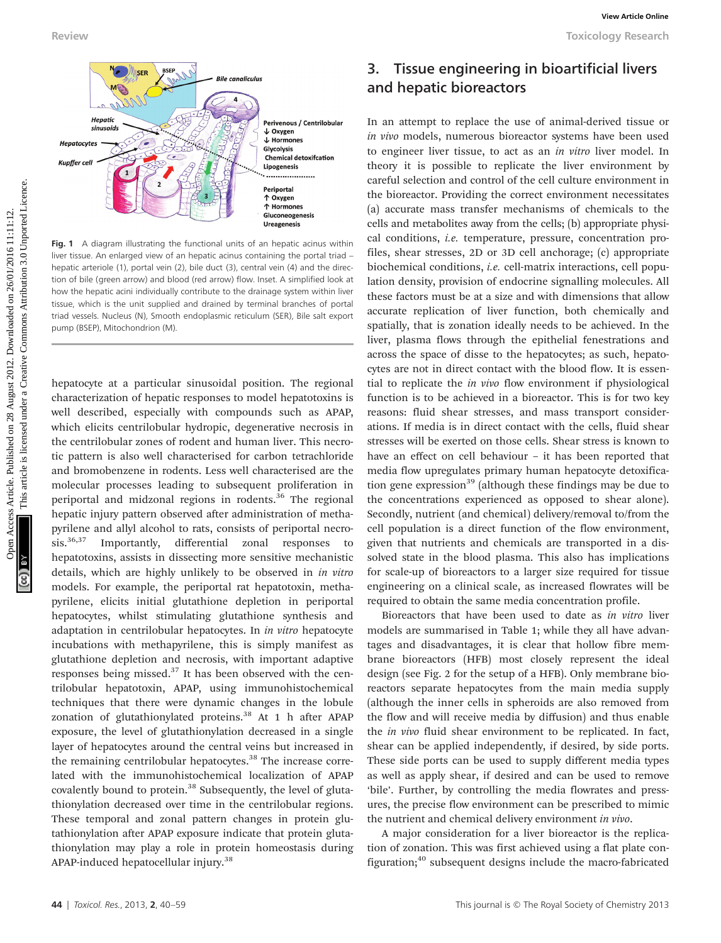

Fig. 1 A diagram illustrating the functional units of an hepatic acinus within liver tissue. An enlarged view of an hepatic acinus containing the portal triad – hepatic arteriole (1), portal vein (2), bile duct (3), central vein (4) and the direction of bile (green arrow) and blood (red arrow) flow. Inset. A simplified look at how the hepatic acini individually contribute to the drainage system within liver tissue, which is the unit supplied and drained by terminal branches of portal triad vessels. Nucleus (N), Smooth endoplasmic reticulum (SER), Bile salt export pump (BSEP), Mitochondrion (M).

hepatocyte at a particular sinusoidal position. The regional characterization of hepatic responses to model hepatotoxins is well described, especially with compounds such as APAP, which elicits centrilobular hydropic, degenerative necrosis in the centrilobular zones of rodent and human liver. This necrotic pattern is also well characterised for carbon tetrachloride and bromobenzene in rodents. Less well characterised are the molecular processes leading to subsequent proliferation in periportal and midzonal regions in rodents.<sup>36</sup> The regional hepatic injury pattern observed after administration of methapyrilene and allyl alcohol to rats, consists of periportal necro-<br>sis.<sup>36,37</sup> Importantly, differential zonal responses to Importantly, differential zonal responses to hepatotoxins, assists in dissecting more sensitive mechanistic details, which are highly unlikely to be observed in in vitro models. For example, the periportal rat hepatotoxin, methapyrilene, elicits initial glutathione depletion in periportal hepatocytes, whilst stimulating glutathione synthesis and adaptation in centrilobular hepatocytes. In in vitro hepatocyte incubations with methapyrilene, this is simply manifest as glutathione depletion and necrosis, with important adaptive responses being missed. $37$  It has been observed with the centrilobular hepatotoxin, APAP, using immunohistochemical techniques that there were dynamic changes in the lobule zonation of glutathionylated proteins.<sup>38</sup> At 1 h after APAP exposure, the level of glutathionylation decreased in a single layer of hepatocytes around the central veins but increased in the remaining centrilobular hepatocytes.<sup>38</sup> The increase correlated with the immunohistochemical localization of APAP covalently bound to protein.<sup>38</sup> Subsequently, the level of glutathionylation decreased over time in the centrilobular regions. These temporal and zonal pattern changes in protein glutathionylation after APAP exposure indicate that protein glutathionylation may play a role in protein homeostasis during APAP-induced hepatocellular injury.<sup>38</sup>

### 3. Tissue engineering in bioartificial livers and hepatic bioreactors

In an attempt to replace the use of animal-derived tissue or in vivo models, numerous bioreactor systems have been used to engineer liver tissue, to act as an in vitro liver model. In theory it is possible to replicate the liver environment by careful selection and control of the cell culture environment in the bioreactor. Providing the correct environment necessitates (a) accurate mass transfer mechanisms of chemicals to the cells and metabolites away from the cells; (b) appropriate physical conditions, i.e. temperature, pressure, concentration profiles, shear stresses, 2D or 3D cell anchorage; (c) appropriate biochemical conditions, i.e. cell-matrix interactions, cell population density, provision of endocrine signalling molecules. All these factors must be at a size and with dimensions that allow accurate replication of liver function, both chemically and spatially, that is zonation ideally needs to be achieved. In the liver, plasma flows through the epithelial fenestrations and across the space of disse to the hepatocytes; as such, hepatocytes are not in direct contact with the blood flow. It is essential to replicate the in vivo flow environment if physiological function is to be achieved in a bioreactor. This is for two key reasons: fluid shear stresses, and mass transport considerations. If media is in direct contact with the cells, fluid shear stresses will be exerted on those cells. Shear stress is known to have an effect on cell behaviour – it has been reported that media flow upregulates primary human hepatocyte detoxification gene expression<sup>39</sup> (although these findings may be due to the concentrations experienced as opposed to shear alone). Secondly, nutrient (and chemical) delivery/removal to/from the cell population is a direct function of the flow environment, given that nutrients and chemicals are transported in a dissolved state in the blood plasma. This also has implications for scale-up of bioreactors to a larger size required for tissue engineering on a clinical scale, as increased flowrates will be required to obtain the same media concentration profile. Beview **and the common access Article.** This article is an antique the material is are an antique the three common access are the common access are the common access Creative Common and the common access Creative Common a

> Bioreactors that have been used to date as in vitro liver models are summarised in Table 1; while they all have advantages and disadvantages, it is clear that hollow fibre membrane bioreactors (HFB) most closely represent the ideal design (see Fig. 2 for the setup of a HFB). Only membrane bioreactors separate hepatocytes from the main media supply (although the inner cells in spheroids are also removed from the flow and will receive media by diffusion) and thus enable the in vivo fluid shear environment to be replicated. In fact, shear can be applied independently, if desired, by side ports. These side ports can be used to supply different media types as well as apply shear, if desired and can be used to remove 'bile'. Further, by controlling the media flowrates and pressures, the precise flow environment can be prescribed to mimic the nutrient and chemical delivery environment in vivo.

> A major consideration for a liver bioreactor is the replication of zonation. This was first achieved using a flat plate configuration;<sup>40</sup> subsequent designs include the macro-fabricated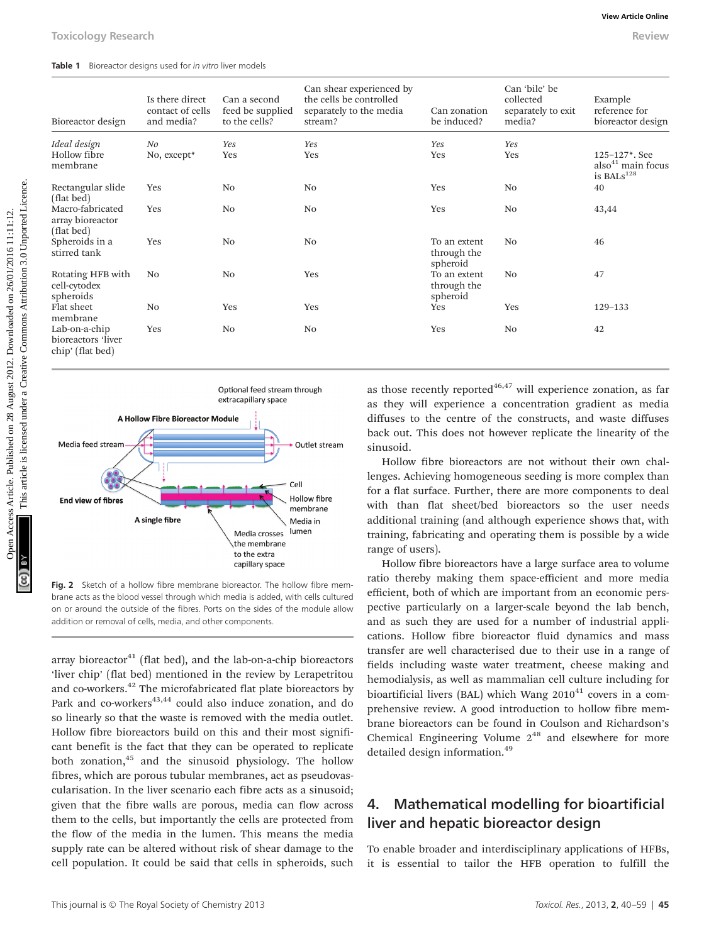Table 1 Bioreactor designs used for in vitro liver models

|                                                                        |                                                   |                                                      |                                                                                           |                                                                                                                                                                                                                                                                                                                                                                                                           |                                                                                                                                           | <b>View Article Online</b>                                                    |  |
|------------------------------------------------------------------------|---------------------------------------------------|------------------------------------------------------|-------------------------------------------------------------------------------------------|-----------------------------------------------------------------------------------------------------------------------------------------------------------------------------------------------------------------------------------------------------------------------------------------------------------------------------------------------------------------------------------------------------------|-------------------------------------------------------------------------------------------------------------------------------------------|-------------------------------------------------------------------------------|--|
| <b>Toxicology Research</b>                                             |                                                   |                                                      |                                                                                           |                                                                                                                                                                                                                                                                                                                                                                                                           |                                                                                                                                           | <b>Review</b>                                                                 |  |
| Table 1 Bioreactor designs used for in vitro liver models              |                                                   |                                                      |                                                                                           |                                                                                                                                                                                                                                                                                                                                                                                                           |                                                                                                                                           |                                                                               |  |
| Bioreactor design                                                      | Is there direct<br>contact of cells<br>and media? | Can a second<br>feed be supplied<br>to the cells?    | Can shear experienced by<br>the cells be controlled<br>separately to the media<br>stream? | Can zonation<br>be induced?                                                                                                                                                                                                                                                                                                                                                                               | Can 'bile' be<br>collected<br>separately to exit<br>media?                                                                                | Example<br>reference for<br>bioreactor design                                 |  |
| Ideal design<br>Hollow fibre<br>membrane                               | No<br>No, except*                                 | Yes<br>Yes                                           | Yes<br>Yes                                                                                | Yes<br>Yes                                                                                                                                                                                                                                                                                                                                                                                                | Yes<br>Yes                                                                                                                                | $125 - 127$ *. See<br>also <sup>41</sup> main focus<br>is BALs <sup>128</sup> |  |
| Rectangular slide<br>(flat bed)                                        | Yes                                               | No                                                   | No                                                                                        | Yes                                                                                                                                                                                                                                                                                                                                                                                                       | N <sub>0</sub>                                                                                                                            | 40                                                                            |  |
| Macro-fabricated<br>array bioreactor<br>(flat bed)                     | Yes                                               | No                                                   | No                                                                                        | Yes                                                                                                                                                                                                                                                                                                                                                                                                       | No                                                                                                                                        | 43,44                                                                         |  |
| Spheroids in a<br>stirred tank                                         | Yes                                               | N <sub>0</sub>                                       | No                                                                                        | To an extent<br>through the<br>spheroid                                                                                                                                                                                                                                                                                                                                                                   | N <sub>0</sub>                                                                                                                            | 46                                                                            |  |
| Rotating HFB with<br>cell-cytodex<br>spheroids                         | N <sub>0</sub>                                    | N <sub>0</sub>                                       | Yes                                                                                       | To an extent<br>through the<br>spheroid                                                                                                                                                                                                                                                                                                                                                                   | N <sub>0</sub>                                                                                                                            | 47                                                                            |  |
| Flat sheet<br>membrane                                                 | No                                                | Yes                                                  | Yes                                                                                       | Yes                                                                                                                                                                                                                                                                                                                                                                                                       | Yes                                                                                                                                       | 129-133                                                                       |  |
| Lab-on-a-chip<br>bioreactors 'liver<br>chip' (flat bed)                | Yes                                               | No                                                   | No                                                                                        | Yes                                                                                                                                                                                                                                                                                                                                                                                                       | No                                                                                                                                        | 42                                                                            |  |
|                                                                        |                                                   | Optional feed stream through<br>extracapillary space |                                                                                           |                                                                                                                                                                                                                                                                                                                                                                                                           | as those recently reported <sup>46,47</sup> will experience zonation, as far<br>as they will experience a concentration gradient as media |                                                                               |  |
| A Hollow Fibre Bioreactor Module<br>Media feed stream<br>Outlet stream |                                                   |                                                      | sinusoid.                                                                                 | diffuses to the centre of the constructs, and waste diffuses<br>back out. This does not however replicate the linearity of the                                                                                                                                                                                                                                                                            |                                                                                                                                           |                                                                               |  |
|                                                                        |                                                   | Cell                                                 |                                                                                           | Hollow fibre bioreactors are not without their own chal-<br>lenges. Achieving homogeneous seeding is more complex than<br>for a flat surface. Further, there are more components to deal<br>with than flat sheet/bed bioreactors so the user needs<br>additional training (and although experience shows that, with<br>training, fabricating and operating them is possible by a wide<br>range of users). |                                                                                                                                           |                                                                               |  |
| <b>End view of fibres</b>                                              | A single fibre                                    | Media crosses<br>the membrane                        | <b>Hollow fibre</b><br>membrane<br>Media in<br>lumen                                      |                                                                                                                                                                                                                                                                                                                                                                                                           |                                                                                                                                           |                                                                               |  |



Fig. 2 Sketch of a hollow fibre membrane bioreactor. The hollow fibre membrane acts as the blood vessel through which media is added, with cells cultured on or around the outside of the fibres. Ports on the sides of the module allow addition or removal of cells, media, and other components.

array bioreactor $41$  (flat bed), and the lab-on-a-chip bioreactors 'liver chip' (flat bed) mentioned in the review by Lerapetritou and co-workers.42 The microfabricated flat plate bioreactors by Park and co-workers $43,44$  could also induce zonation, and do so linearly so that the waste is removed with the media outlet. Hollow fibre bioreactors build on this and their most significant benefit is the fact that they can be operated to replicate both zonation,45 and the sinusoid physiology. The hollow fibres, which are porous tubular membranes, act as pseudovascularisation. In the liver scenario each fibre acts as a sinusoid; given that the fibre walls are porous, media can flow across them to the cells, but importantly the cells are protected from the flow of the media in the lumen. This means the media supply rate can be altered without risk of shear damage to the cell population. It could be said that cells in spheroids, such

Hollow fibre bioreactors have a large surface area to volume ratio thereby making them space-efficient and more media efficient, both of which are important from an economic perspective particularly on a larger-scale beyond the lab bench, and as such they are used for a number of industrial applications. Hollow fibre bioreactor fluid dynamics and mass transfer are well characterised due to their use in a range of fields including waste water treatment, cheese making and hemodialysis, as well as mammalian cell culture including for bioartificial livers (BAL) which Wang  $2010^{41}$  covers in a comprehensive review. A good introduction to hollow fibre membrane bioreactors can be found in Coulson and Richardson's Chemical Engineering Volume  $2^{48}$  and elsewhere for more detailed design information.<sup>49</sup>

### 4. Mathematical modelling for bioartificial liver and hepatic bioreactor design

To enable broader and interdisciplinary applications of HFBs, it is essential to tailor the HFB operation to fulfill the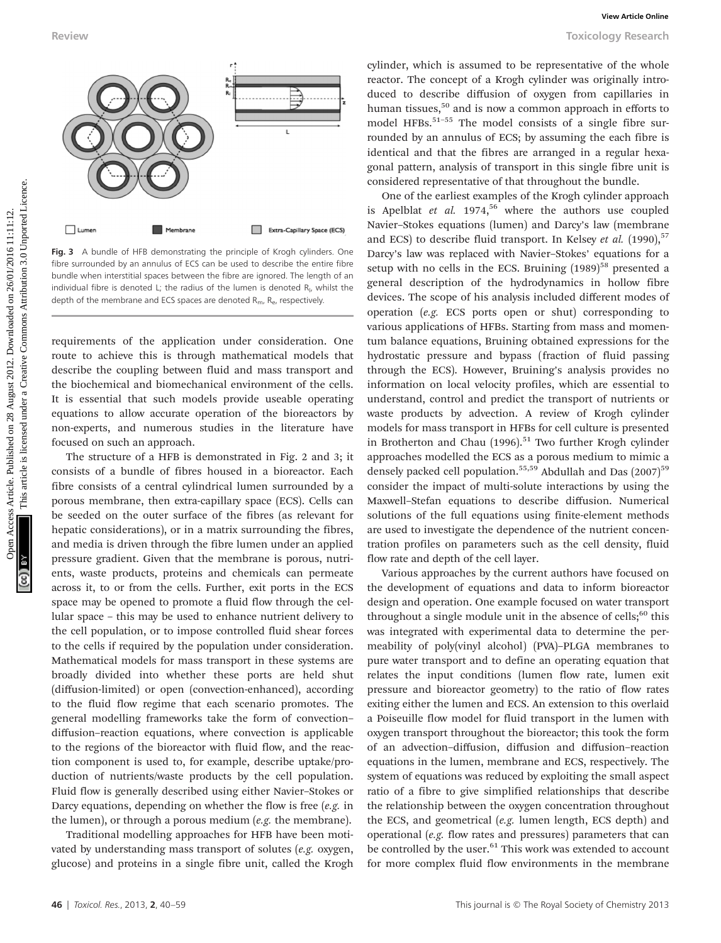

Fig. 3 A bundle of HFB demonstrating the principle of Krogh cylinders. One fibre surrounded by an annulus of ECS can be used to describe the entire fibre bundle when interstitial spaces between the fibre are ignored. The length of an individual fibre is denoted L; the radius of the lumen is denoted  $R_{l}$ , whilst the depth of the membrane and ECS spaces are denoted  $R_{\text{m}}$ ,  $R_{\text{e}}$ , respectively.

requirements of the application under consideration. One route to achieve this is through mathematical models that describe the coupling between fluid and mass transport and the biochemical and biomechanical environment of the cells. It is essential that such models provide useable operating equations to allow accurate operation of the bioreactors by non-experts, and numerous studies in the literature have focused on such an approach.

The structure of a HFB is demonstrated in Fig. 2 and 3; it consists of a bundle of fibres housed in a bioreactor. Each fibre consists of a central cylindrical lumen surrounded by a porous membrane, then extra-capillary space (ECS). Cells can be seeded on the outer surface of the fibres (as relevant for hepatic considerations), or in a matrix surrounding the fibres, and media is driven through the fibre lumen under an applied pressure gradient. Given that the membrane is porous, nutrients, waste products, proteins and chemicals can permeate across it, to or from the cells. Further, exit ports in the ECS space may be opened to promote a fluid flow through the cellular space – this may be used to enhance nutrient delivery to the cell population, or to impose controlled fluid shear forces to the cells if required by the population under consideration. Mathematical models for mass transport in these systems are broadly divided into whether these ports are held shut (diffusion-limited) or open (convection-enhanced), according to the fluid flow regime that each scenario promotes. The general modelling frameworks take the form of convection– diffusion–reaction equations, where convection is applicable to the regions of the bioreactor with fluid flow, and the reaction component is used to, for example, describe uptake/production of nutrients/waste products by the cell population. Fluid flow is generally described using either Navier–Stokes or Darcy equations, depending on whether the flow is free (e.g. in the lumen), or through a porous medium (e.g. the membrane).

Traditional modelling approaches for HFB have been motivated by understanding mass transport of solutes (e.g. oxygen, glucose) and proteins in a single fibre unit, called the Krogh

cylinder, which is assumed to be representative of the whole reactor. The concept of a Krogh cylinder was originally introduced to describe diffusion of oxygen from capillaries in human tissues, $50$  and is now a common approach in efforts to model HFBs.<sup>51-55</sup> The model consists of a single fibre surrounded by an annulus of ECS; by assuming the each fibre is identical and that the fibres are arranged in a regular hexagonal pattern, analysis of transport in this single fibre unit is considered representative of that throughout the bundle.

One of the earliest examples of the Krogh cylinder approach is Apelblat et al.  $1974$ ,<sup>56</sup> where the authors use coupled Navier–Stokes equations (lumen) and Darcy's law (membrane and ECS) to describe fluid transport. In Kelsey et al.  $(1990)$ ,<sup>57</sup> Darcy's law was replaced with Navier–Stokes' equations for a setup with no cells in the ECS. Bruining  $(1989)^{58}$  presented a general description of the hydrodynamics in hollow fibre devices. The scope of his analysis included different modes of operation (e.g. ECS ports open or shut) corresponding to various applications of HFBs. Starting from mass and momentum balance equations, Bruining obtained expressions for the hydrostatic pressure and bypass (fraction of fluid passing through the ECS). However, Bruining's analysis provides no information on local velocity profiles, which are essential to understand, control and predict the transport of nutrients or waste products by advection. A review of Krogh cylinder models for mass transport in HFBs for cell culture is presented in Brotherton and Chau  $(1996)$ <sup>51</sup> Two further Krogh cylinder approaches modelled the ECS as a porous medium to mimic a densely packed cell population.<sup>55,59</sup> Abdullah and Das  $(2007)^{59}$ consider the impact of multi-solute interactions by using the Maxwell–Stefan equations to describe diffusion. Numerical solutions of the full equations using finite-element methods are used to investigate the dependence of the nutrient concentration profiles on parameters such as the cell density, fluid flow rate and depth of the cell layer. Newley Your Consider on 28 August 2012. The consider the common article. The consider the common article is licensed under the selection of the common and the common and the common and the common and the common and the com

> Various approaches by the current authors have focused on the development of equations and data to inform bioreactor design and operation. One example focused on water transport throughout a single module unit in the absence of cells; $60$  this was integrated with experimental data to determine the permeability of poly(vinyl alcohol) (PVA)–PLGA membranes to pure water transport and to define an operating equation that relates the input conditions (lumen flow rate, lumen exit pressure and bioreactor geometry) to the ratio of flow rates exiting either the lumen and ECS. An extension to this overlaid a Poiseuille flow model for fluid transport in the lumen with oxygen transport throughout the bioreactor; this took the form of an advection–diffusion, diffusion and diffusion–reaction equations in the lumen, membrane and ECS, respectively. The system of equations was reduced by exploiting the small aspect ratio of a fibre to give simplified relationships that describe the relationship between the oxygen concentration throughout the ECS, and geometrical (e.g. lumen length, ECS depth) and operational (e.g. flow rates and pressures) parameters that can be controlled by the user.<sup>61</sup> This work was extended to account for more complex fluid flow environments in the membrane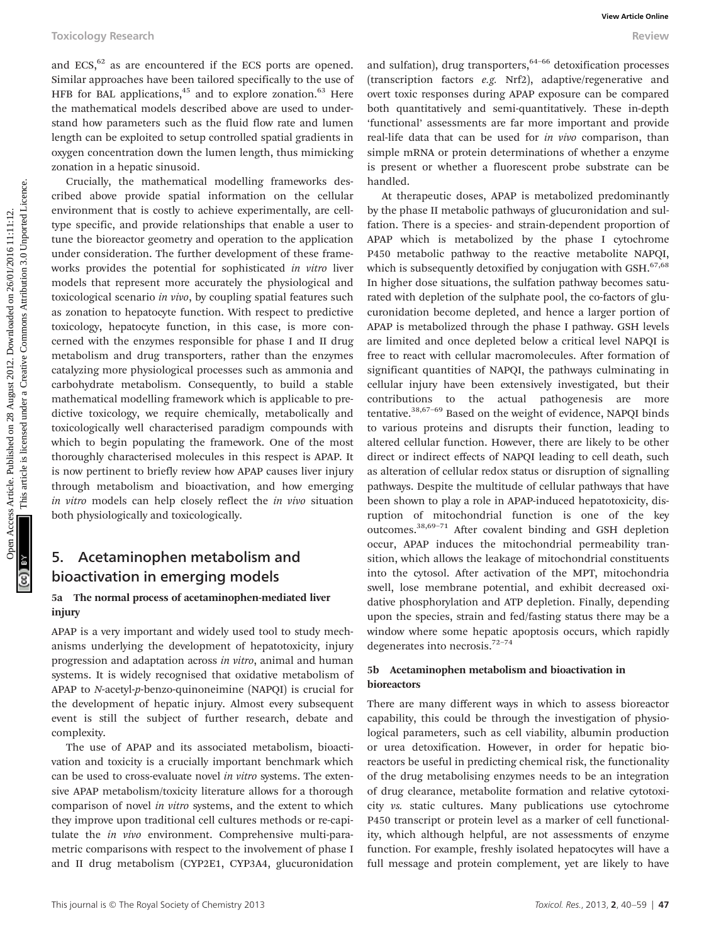and  $ECS$ ,  $62$  as are encountered if the ECS ports are opened. Similar approaches have been tailored specifically to the use of HFB for BAL applications, $45$  and to explore zonation. $63$  Here the mathematical models described above are used to understand how parameters such as the fluid flow rate and lumen length can be exploited to setup controlled spatial gradients in oxygen concentration down the lumen length, thus mimicking zonation in a hepatic sinusoid.

Crucially, the mathematical modelling frameworks described above provide spatial information on the cellular environment that is costly to achieve experimentally, are celltype specific, and provide relationships that enable a user to tune the bioreactor geometry and operation to the application under consideration. The further development of these frameworks provides the potential for sophisticated in vitro liver models that represent more accurately the physiological and toxicological scenario in vivo, by coupling spatial features such as zonation to hepatocyte function. With respect to predictive toxicology, hepatocyte function, in this case, is more concerned with the enzymes responsible for phase I and II drug metabolism and drug transporters, rather than the enzymes catalyzing more physiological processes such as ammonia and carbohydrate metabolism. Consequently, to build a stable mathematical modelling framework which is applicable to predictive toxicology, we require chemically, metabolically and toxicologically well characterised paradigm compounds with which to begin populating the framework. One of the most thoroughly characterised molecules in this respect is APAP. It is now pertinent to briefly review how APAP causes liver injury through metabolism and bioactivation, and how emerging in vitro models can help closely reflect the in vivo situation both physiologically and toxicologically.

### 5. Acetaminophen metabolism and bioactivation in emerging models

#### 5a The normal process of acetaminophen-mediated liver injury

APAP is a very important and widely used tool to study mechanisms underlying the development of hepatotoxicity, injury progression and adaptation across in vitro, animal and human systems. It is widely recognised that oxidative metabolism of APAP to N-acetyl-p-benzo-quinoneimine (NAPQI) is crucial for the development of hepatic injury. Almost every subsequent event is still the subject of further research, debate and complexity.

The use of APAP and its associated metabolism, bioactivation and toxicity is a crucially important benchmark which can be used to cross-evaluate novel in vitro systems. The extensive APAP metabolism/toxicity literature allows for a thorough comparison of novel in vitro systems, and the extent to which they improve upon traditional cell cultures methods or re-capitulate the in vivo environment. Comprehensive multi-parametric comparisons with respect to the involvement of phase I and II drug metabolism (CYP2E1, CYP3A4, glucuronidation

and sulfation), drug transporters,  $64-66$  detoxification processes (transcription factors e.g. Nrf2), adaptive/regenerative and overt toxic responses during APAP exposure can be compared both quantitatively and semi-quantitatively. These in-depth 'functional' assessments are far more important and provide real-life data that can be used for in vivo comparison, than simple mRNA or protein determinations of whether a enzyme is present or whether a fluorescent probe substrate can be handled.

At therapeutic doses, APAP is metabolized predominantly by the phase II metabolic pathways of glucuronidation and sulfation. There is a species- and strain-dependent proportion of APAP which is metabolized by the phase I cytochrome P450 metabolic pathway to the reactive metabolite NAPQI, which is subsequently detoxified by conjugation with GSH. $67,68$ In higher dose situations, the sulfation pathway becomes saturated with depletion of the sulphate pool, the co-factors of glucuronidation become depleted, and hence a larger portion of APAP is metabolized through the phase I pathway. GSH levels are limited and once depleted below a critical level NAPQI is free to react with cellular macromolecules. After formation of significant quantities of NAPQI, the pathways culminating in cellular injury have been extensively investigated, but their contributions to the actual pathogenesis are more tentative.<sup>38,67-69</sup> Based on the weight of evidence, NAPQI binds to various proteins and disrupts their function, leading to altered cellular function. However, there are likely to be other direct or indirect effects of NAPQI leading to cell death, such as alteration of cellular redox status or disruption of signalling pathways. Despite the multitude of cellular pathways that have been shown to play a role in APAP-induced hepatotoxicity, disruption of mitochondrial function is one of the key outcomes.38,69–<sup>71</sup> After covalent binding and GSH depletion occur, APAP induces the mitochondrial permeability transition, which allows the leakage of mitochondrial constituents into the cytosol. After activation of the MPT, mitochondria swell, lose membrane potential, and exhibit decreased oxidative phosphorylation and ATP depletion. Finally, depending upon the species, strain and fed/fasting status there may be a window where some hepatic apoptosis occurs, which rapidly degenerates into necrosis.<sup>72-74</sup> Toxicology Research **and** ECS,<sup>52</sup> as are consumered if the ECS ports are opened. Smaller puplications,  $\frac{1}{2}$  are smaller puplications,  $\frac{1}{2}$  and  $\frac{1}{2}$  and  $\frac{1}{2}$  and  $\frac{1}{2}$  and  $\frac{1}{2}$  and  $\frac{1}{2}$  a

#### 5b Acetaminophen metabolism and bioactivation in bioreactors

There are many different ways in which to assess bioreactor capability, this could be through the investigation of physiological parameters, such as cell viability, albumin production or urea detoxification. However, in order for hepatic bioreactors be useful in predicting chemical risk, the functionality of the drug metabolising enzymes needs to be an integration of drug clearance, metabolite formation and relative cytotoxicity vs. static cultures. Many publications use cytochrome P450 transcript or protein level as a marker of cell functionality, which although helpful, are not assessments of enzyme function. For example, freshly isolated hepatocytes will have a full message and protein complement, yet are likely to have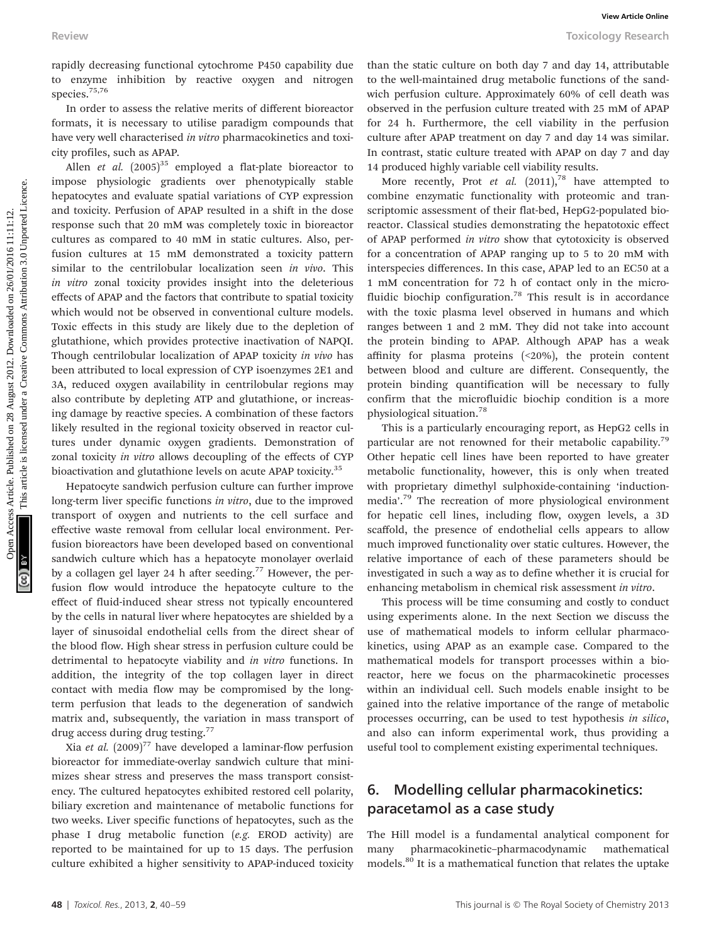rapidly decreasing functional cytochrome P450 capability due to enzyme inhibition by reactive oxygen and nitrogen species.<sup>75,76</sup>

In order to assess the relative merits of different bioreactor formats, it is necessary to utilise paradigm compounds that have very well characterised in vitro pharmacokinetics and toxicity profiles, such as APAP.

Allen *et al.*  $(2005)^{35}$  employed a flat-plate bioreactor to impose physiologic gradients over phenotypically stable hepatocytes and evaluate spatial variations of CYP expression and toxicity. Perfusion of APAP resulted in a shift in the dose response such that 20 mM was completely toxic in bioreactor cultures as compared to 40 mM in static cultures. Also, perfusion cultures at 15 mM demonstrated a toxicity pattern similar to the centrilobular localization seen in vivo. This in vitro zonal toxicity provides insight into the deleterious effects of APAP and the factors that contribute to spatial toxicity which would not be observed in conventional culture models. Toxic effects in this study are likely due to the depletion of glutathione, which provides protective inactivation of NAPQI. Though centrilobular localization of APAP toxicity in vivo has been attributed to local expression of CYP isoenzymes 2E1 and 3A, reduced oxygen availability in centrilobular regions may also contribute by depleting ATP and glutathione, or increasing damage by reactive species. A combination of these factors likely resulted in the regional toxicity observed in reactor cultures under dynamic oxygen gradients. Demonstration of zonal toxicity in vitro allows decoupling of the effects of CYP bioactivation and glutathione levels on acute APAP toxicity.<sup>35</sup> Review Towiew Towiew Towiew Content (article) in experimentally the the statistical content in the statistical content in the statistical content in the statistical content in the statistical content in the statistical con

Hepatocyte sandwich perfusion culture can further improve long-term liver specific functions in vitro, due to the improved transport of oxygen and nutrients to the cell surface and effective waste removal from cellular local environment. Perfusion bioreactors have been developed based on conventional sandwich culture which has a hepatocyte monolayer overlaid by a collagen gel layer 24 h after seeding.<sup>77</sup> However, the perfusion flow would introduce the hepatocyte culture to the effect of fluid-induced shear stress not typically encountered by the cells in natural liver where hepatocytes are shielded by a layer of sinusoidal endothelial cells from the direct shear of the blood flow. High shear stress in perfusion culture could be detrimental to hepatocyte viability and in vitro functions. In addition, the integrity of the top collagen layer in direct contact with media flow may be compromised by the longterm perfusion that leads to the degeneration of sandwich matrix and, subsequently, the variation in mass transport of drug access during drug testing.<sup>77</sup>

Xia et al.  $(2009)^{77}$  have developed a laminar-flow perfusion bioreactor for immediate-overlay sandwich culture that minimizes shear stress and preserves the mass transport consistency. The cultured hepatocytes exhibited restored cell polarity, biliary excretion and maintenance of metabolic functions for two weeks. Liver specific functions of hepatocytes, such as the phase I drug metabolic function (e.g. EROD activity) are reported to be maintained for up to 15 days. The perfusion culture exhibited a higher sensitivity to APAP-induced toxicity

than the static culture on both day 7 and day 14, attributable to the well-maintained drug metabolic functions of the sandwich perfusion culture. Approximately 60% of cell death was observed in the perfusion culture treated with 25 mM of APAP for 24 h. Furthermore, the cell viability in the perfusion culture after APAP treatment on day 7 and day 14 was similar. In contrast, static culture treated with APAP on day 7 and day 14 produced highly variable cell viability results.

More recently, Prot et al.  $(2011)<sup>78</sup>$  have attempted to combine enzymatic functionality with proteomic and transcriptomic assessment of their flat-bed, HepG2-populated bioreactor. Classical studies demonstrating the hepatotoxic effect of APAP performed in vitro show that cytotoxicity is observed for a concentration of APAP ranging up to 5 to 20 mM with interspecies differences. In this case, APAP led to an EC50 at a 1 mM concentration for 72 h of contact only in the microfluidic biochip configuration.<sup>78</sup> This result is in accordance with the toxic plasma level observed in humans and which ranges between 1 and 2 mM. They did not take into account the protein binding to APAP. Although APAP has a weak affinity for plasma proteins (<20%), the protein content between blood and culture are different. Consequently, the protein binding quantification will be necessary to fully confirm that the microfluidic biochip condition is a more physiological situation.78

This is a particularly encouraging report, as HepG2 cells in particular are not renowned for their metabolic capability.<sup>79</sup> Other hepatic cell lines have been reported to have greater metabolic functionality, however, this is only when treated with proprietary dimethyl sulphoxide-containing 'inductionmedia'.<sup>79</sup> The recreation of more physiological environment for hepatic cell lines, including flow, oxygen levels, a 3D scaffold, the presence of endothelial cells appears to allow much improved functionality over static cultures. However, the relative importance of each of these parameters should be investigated in such a way as to define whether it is crucial for enhancing metabolism in chemical risk assessment in vitro.

This process will be time consuming and costly to conduct using experiments alone. In the next Section we discuss the use of mathematical models to inform cellular pharmacokinetics, using APAP as an example case. Compared to the mathematical models for transport processes within a bioreactor, here we focus on the pharmacokinetic processes within an individual cell. Such models enable insight to be gained into the relative importance of the range of metabolic processes occurring, can be used to test hypothesis in silico, and also can inform experimental work, thus providing a useful tool to complement existing experimental techniques.

### 6. Modelling cellular pharmacokinetics: paracetamol as a case study

The Hill model is a fundamental analytical component for many pharmacokinetic–pharmacodynamic mathematical models.<sup>80</sup> It is a mathematical function that relates the uptake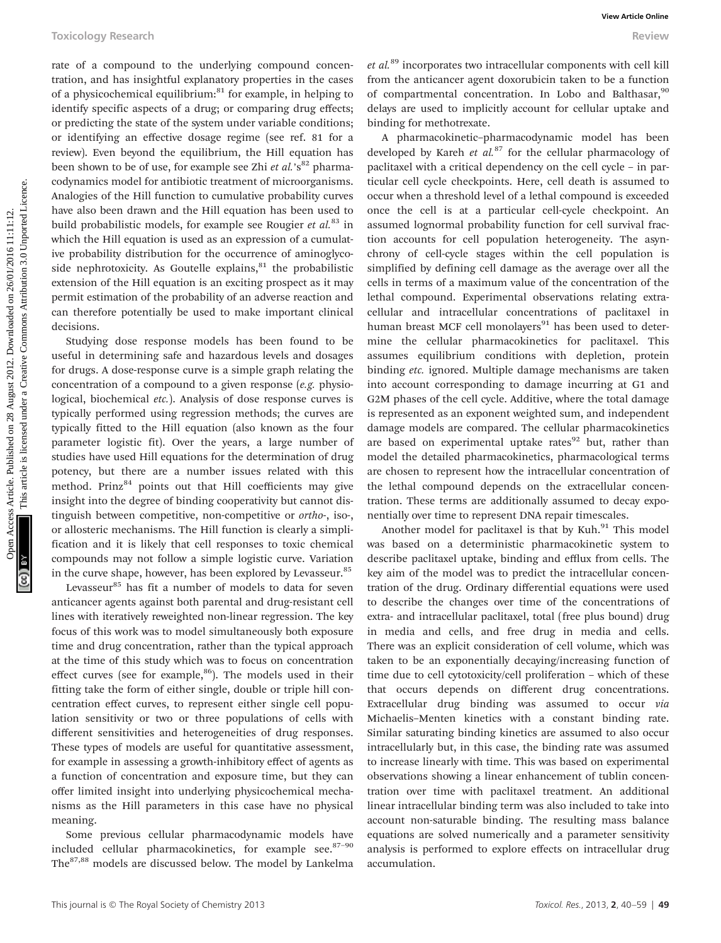rate of a compound to the underlying compound concentration, and has insightful explanatory properties in the cases of a physicochemical equilibrium: $81$  for example, in helping to identify specific aspects of a drug; or comparing drug effects; or predicting the state of the system under variable conditions; or identifying an effective dosage regime (see ref. 81 for a review). Even beyond the equilibrium, the Hill equation has been shown to be of use, for example see Zhi et al.'s<sup>82</sup> pharmacodynamics model for antibiotic treatment of microorganisms. Analogies of the Hill function to cumulative probability curves have also been drawn and the Hill equation has been used to build probabilistic models, for example see Rougier et  $al$ <sup>83</sup> in which the Hill equation is used as an expression of a cumulative probability distribution for the occurrence of aminoglycoside nephrotoxicity. As Goutelle explains, $81$  the probabilistic extension of the Hill equation is an exciting prospect as it may permit estimation of the probability of an adverse reaction and can therefore potentially be used to make important clinical decisions.

Studying dose response models has been found to be useful in determining safe and hazardous levels and dosages for drugs. A dose-response curve is a simple graph relating the concentration of a compound to a given response (e.g. physiological, biochemical etc.). Analysis of dose response curves is typically performed using regression methods; the curves are typically fitted to the Hill equation (also known as the four parameter logistic fit). Over the years, a large number of studies have used Hill equations for the determination of drug potency, but there are a number issues related with this method. Prinz<sup>84</sup> points out that Hill coefficients may give insight into the degree of binding cooperativity but cannot distinguish between competitive, non-competitive or ortho-, iso-, or allosteric mechanisms. The Hill function is clearly a simplification and it is likely that cell responses to toxic chemical compounds may not follow a simple logistic curve. Variation in the curve shape, however, has been explored by Levasseur.<sup>85</sup>

Levasseur<sup>85</sup> has fit a number of models to data for seven anticancer agents against both parental and drug-resistant cell lines with iteratively reweighted non-linear regression. The key focus of this work was to model simultaneously both exposure time and drug concentration, rather than the typical approach at the time of this study which was to focus on concentration effect curves (see for example, $86$ ). The models used in their fitting take the form of either single, double or triple hill concentration effect curves, to represent either single cell population sensitivity or two or three populations of cells with different sensitivities and heterogeneities of drug responses. These types of models are useful for quantitative assessment, for example in assessing a growth-inhibitory effect of agents as a function of concentration and exposure time, but they can offer limited insight into underlying physicochemical mechanisms as the Hill parameters in this case have no physical meaning.

Some previous cellular pharmacodynamic models have included cellular pharmacokinetics, for example see. $87-90$ The87,88 models are discussed below. The model by Lankelma  $et al.<sup>89</sup>$  incorporates two intracellular components with cell kill from the anticancer agent doxorubicin taken to be a function of compartmental concentration. In Lobo and Balthasar,<sup>90</sup> delays are used to implicitly account for cellular uptake and binding for methotrexate.

A pharmacokinetic–pharmacodynamic model has been developed by Kareh et  $al.^{87}$  for the cellular pharmacology of paclitaxel with a critical dependency on the cell cycle – in particular cell cycle checkpoints. Here, cell death is assumed to occur when a threshold level of a lethal compound is exceeded once the cell is at a particular cell-cycle checkpoint. An assumed lognormal probability function for cell survival fraction accounts for cell population heterogeneity. The asynchrony of cell-cycle stages within the cell population is simplified by defining cell damage as the average over all the cells in terms of a maximum value of the concentration of the lethal compound. Experimental observations relating extracellular and intracellular concentrations of paclitaxel in human breast MCF cell monolayers $91$  has been used to determine the cellular pharmacokinetics for paclitaxel. This assumes equilibrium conditions with depletion, protein binding etc. ignored. Multiple damage mechanisms are taken into account corresponding to damage incurring at G1 and G2M phases of the cell cycle. Additive, where the total damage is represented as an exponent weighted sum, and independent damage models are compared. The cellular pharmacokinetics are based on experimental uptake rates $92$  but, rather than model the detailed pharmacokinetics, pharmacological terms are chosen to represent how the intracellular concentration of the lethal compound depends on the extracellular concentration. These terms are additionally assumed to decay exponentially over time to represent DNA repair timescales. Toxicology Research wave aims of a compound one the compound concern-<br>  $\sigma$  at a hypotochemical equitoment, we comple, in the case in the case are concernent to an interesting<br>
or destribution in the case of the case in t

Another model for paclitaxel is that by Kuh.<sup>91</sup> This model was based on a deterministic pharmacokinetic system to describe paclitaxel uptake, binding and efflux from cells. The key aim of the model was to predict the intracellular concentration of the drug. Ordinary differential equations were used to describe the changes over time of the concentrations of extra- and intracellular paclitaxel, total (free plus bound) drug in media and cells, and free drug in media and cells. There was an explicit consideration of cell volume, which was taken to be an exponentially decaying/increasing function of time due to cell cytotoxicity/cell proliferation – which of these that occurs depends on different drug concentrations. Extracellular drug binding was assumed to occur via Michaelis–Menten kinetics with a constant binding rate. Similar saturating binding kinetics are assumed to also occur intracellularly but, in this case, the binding rate was assumed to increase linearly with time. This was based on experimental observations showing a linear enhancement of tublin concentration over time with paclitaxel treatment. An additional linear intracellular binding term was also included to take into account non-saturable binding. The resulting mass balance equations are solved numerically and a parameter sensitivity analysis is performed to explore effects on intracellular drug accumulation.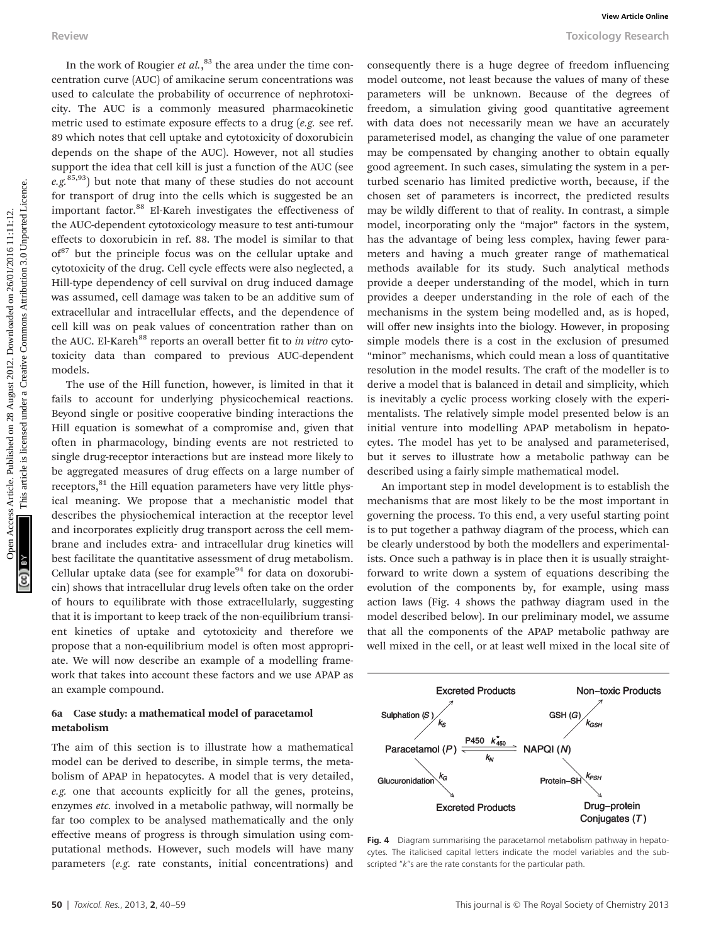In the work of Rougier et  $al$ ,<sup>83</sup> the area under the time concentration curve (AUC) of amikacine serum concentrations was used to calculate the probability of occurrence of nephrotoxicity. The AUC is a commonly measured pharmacokinetic metric used to estimate exposure effects to a drug (e.g. see ref. 89 which notes that cell uptake and cytotoxicity of doxorubicin depends on the shape of the AUC). However, not all studies support the idea that cell kill is just a function of the AUC (see  $e.g.<sup>85,93</sup>$ ) but note that many of these studies do not account for transport of drug into the cells which is suggested be an important factor.<sup>88</sup> El-Kareh investigates the effectiveness of the AUC-dependent cytotoxicology measure to test anti-tumour effects to doxorubicin in ref. 88. The model is similar to that  $of<sup>87</sup>$  but the principle focus was on the cellular uptake and cytotoxicity of the drug. Cell cycle effects were also neglected, a Hill-type dependency of cell survival on drug induced damage was assumed, cell damage was taken to be an additive sum of extracellular and intracellular effects, and the dependence of cell kill was on peak values of concentration rather than on the AUC. El-Kareh<sup>88</sup> reports an overall better fit to *in vitro* cytotoxicity data than compared to previous AUC-dependent models.

The use of the Hill function, however, is limited in that it fails to account for underlying physicochemical reactions. Beyond single or positive cooperative binding interactions the Hill equation is somewhat of a compromise and, given that often in pharmacology, binding events are not restricted to single drug-receptor interactions but are instead more likely to be aggregated measures of drug effects on a large number of receptors, $81$ <sup>the Hill equation parameters have very little phys-</sup> ical meaning. We propose that a mechanistic model that describes the physiochemical interaction at the receptor level and incorporates explicitly drug transport across the cell membrane and includes extra- and intracellular drug kinetics will best facilitate the quantitative assessment of drug metabolism. Cellular uptake data (see for example $94$  for data on doxorubicin) shows that intracellular drug levels often take on the order of hours to equilibrate with those extracellularly, suggesting that it is important to keep track of the non-equilibrium transient kinetics of uptake and cytotoxicity and therefore we propose that a non-equilibrium model is often most appropriate. We will now describe an example of a modelling framework that takes into account these factors and we use APAP as an example compound.

#### 6a Case study: a mathematical model of paracetamol metabolism

The aim of this section is to illustrate how a mathematical model can be derived to describe, in simple terms, the metabolism of APAP in hepatocytes. A model that is very detailed, e.g. one that accounts explicitly for all the genes, proteins, enzymes etc. involved in a metabolic pathway, will normally be far too complex to be analysed mathematically and the only effective means of progress is through simulation using computational methods. However, such models will have many parameters (e.g. rate constants, initial concentrations) and

consequently there is a huge degree of freedom influencing model outcome, not least because the values of many of these parameters will be unknown. Because of the degrees of freedom, a simulation giving good quantitative agreement with data does not necessarily mean we have an accurately parameterised model, as changing the value of one parameter may be compensated by changing another to obtain equally good agreement. In such cases, simulating the system in a perturbed scenario has limited predictive worth, because, if the chosen set of parameters is incorrect, the predicted results may be wildly different to that of reality. In contrast, a simple model, incorporating only the "major" factors in the system, has the advantage of being less complex, having fewer parameters and having a much greater range of mathematical methods available for its study. Such analytical methods provide a deeper understanding of the model, which in turn provides a deeper understanding in the role of each of the mechanisms in the system being modelled and, as is hoped, will offer new insights into the biology. However, in proposing simple models there is a cost in the exclusion of presumed "minor" mechanisms, which could mean a loss of quantitative resolution in the model results. The craft of the modeller is to derive a model that is balanced in detail and simplicity, which is inevitably a cyclic process working closely with the experimentalists. The relatively simple model presented below is an initial venture into modelling APAP metabolism in hepatocytes. The model has yet to be analysed and parameterised, but it serves to illustrate how a metabolic pathway can be described using a fairly simple mathematical model. Review Towics of Rougier er at,<sup>34</sup> the area under the time consequently three is a hage degree of freedom influencing<br>correction unred (MC) of simulation scenarions are much consequently at the beams the value of the of

An important step in model development is to establish the mechanisms that are most likely to be the most important in governing the process. To this end, a very useful starting point is to put together a pathway diagram of the process, which can be clearly understood by both the modellers and experimentalists. Once such a pathway is in place then it is usually straightforward to write down a system of equations describing the evolution of the components by, for example, using mass action laws (Fig. 4 shows the pathway diagram used in the model described below). In our preliminary model, we assume that all the components of the APAP metabolic pathway are well mixed in the cell, or at least well mixed in the local site of



Fig. 4 Diagram summarising the paracetamol metabolism pathway in hepatocytes. The italicised capital letters indicate the model variables and the subscripted "k"s are the rate constants for the particular path.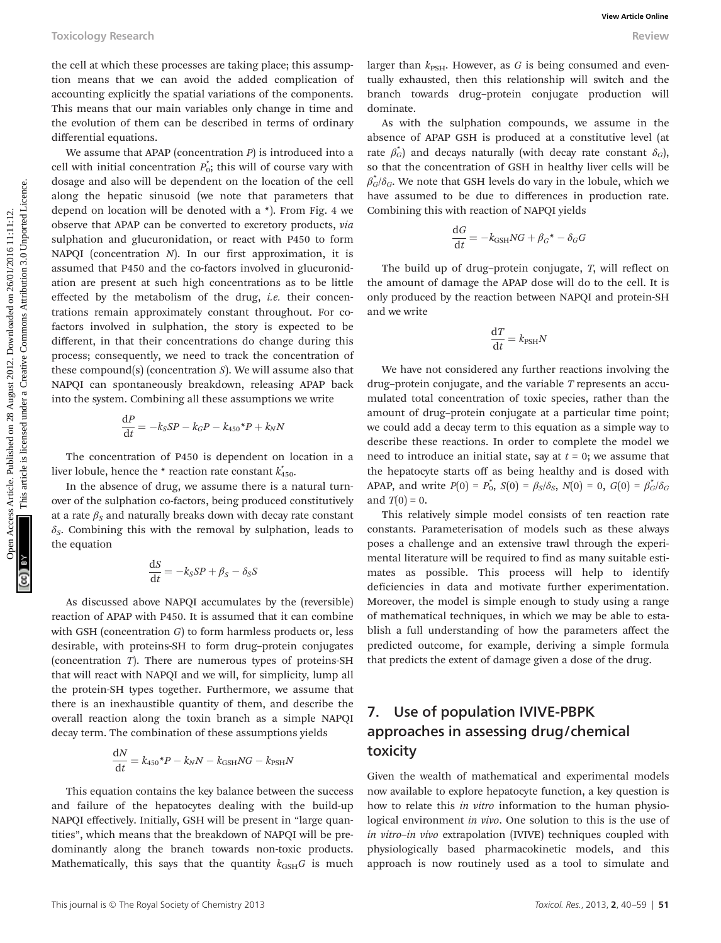the cell at which these processes are taking place; this assumption means that we can avoid the added complication of accounting explicitly the spatial variations of the components. This means that our main variables only change in time and the evolution of them can be described in terms of ordinary differential equations.

We assume that APAP (concentration  $P$ ) is introduced into a cell with initial concentration  $P_0^*$ ; this will of course vary with dosage and also will be dependent on the location of the cell along the hepatic sinusoid (we note that parameters that depend on location will be denoted with a \*). From Fig. 4 we observe that APAP can be converted to excretory products, via sulphation and glucuronidation, or react with P450 to form NAPQI (concentration  $N$ ). In our first approximation, it is assumed that P450 and the co-factors involved in glucuronidation are present at such high concentrations as to be little effected by the metabolism of the drug, i.e. their concentrations remain approximately constant throughout. For cofactors involved in sulphation, the story is expected to be different, in that their concentrations do change during this process; consequently, we need to track the concentration of these compound(s) (concentration  $S$ ). We will assume also that NAPQI can spontaneously breakdown, releasing APAP back into the system. Combining all these assumptions we write Toxicology Research was processes are using place; this assump-<br>
Interview are not the varm with distant and complete the medical complete the medical common are the secondary of the this which points and the medical on t

$$
\frac{\mathrm{d}P}{\mathrm{d}t} = -k_S SP - k_G P - k_{450} P + k_N N
$$

The concentration of P450 is dependent on location in a liver lobule, hence the  $*$  reaction rate constant  $\overline{k}_{450}^*$ .

In the absence of drug, we assume there is a natural turnover of the sulphation co-factors, being produced constitutively at a rate  $\beta_s$  and naturally breaks down with decay rate constant  $\delta_S$ . Combining this with the removal by sulphation, leads to the equation

$$
\frac{\mathrm{d}S}{\mathrm{d}t} = -k_S SP + \beta_S - \delta_S S
$$

As discussed above NAPQI accumulates by the (reversible) reaction of APAP with P450. It is assumed that it can combine with GSH (concentration  $G$ ) to form harmless products or, less desirable, with proteins-SH to form drug–protein conjugates (concentration T). There are numerous types of proteins-SH that will react with NAPQI and we will, for simplicity, lump all the protein-SH types together. Furthermore, we assume that there is an inexhaustible quantity of them, and describe the overall reaction along the toxin branch as a simple NAPQI decay term. The combination of these assumptions yields

$$
\frac{\mathrm{d}N}{\mathrm{d}t} = k_{450} \cdot P - k_N N - k_{\text{GSH}} NG - k_{\text{PSH}} N
$$

This equation contains the key balance between the success and failure of the hepatocytes dealing with the build-up NAPQI effectively. Initially, GSH will be present in "large quantities", which means that the breakdown of NAPQI will be predominantly along the branch towards non-toxic products. Mathematically, this says that the quantity  $k_{\text{GSH}}G$  is much

As with the sulphation compounds, we assume in the absence of APAP GSH is produced at a constitutive level (at rate  $\beta_G^*$ ) and decays naturally (with decay rate constant  $\delta_G$ ), so that the concentration of GSH in healthy liver cells will be  $\beta_G^*/\delta_G$ . We note that GSH levels do vary in the lobule, which we have assumed to be due to differences in production rate. Combining this with reaction of NAPQI yields

$$
\frac{\mathrm{d}G}{\mathrm{d}t} = -k_{\text{GSH}} NG + \beta_G{}^* - \delta_G G
$$

The build up of drug–protein conjugate, T, will reflect on the amount of damage the APAP dose will do to the cell. It is only produced by the reaction between NAPQI and protein-SH and we write

$$
\frac{\mathrm{d}T}{\mathrm{d}t} = k_{\mathrm{PSH}}N
$$

We have not considered any further reactions involving the drug-protein conjugate, and the variable  $T$  represents an accumulated total concentration of toxic species, rather than the amount of drug–protein conjugate at a particular time point; we could add a decay term to this equation as a simple way to describe these reactions. In order to complete the model we need to introduce an initial state, say at  $t = 0$ ; we assume that the hepatocyte starts off as being healthy and is dosed with APAP, and write  $P(0) = P_0^*$ ,  $S(0) = \beta_S/\delta_S$ ,  $N(0) = 0$ ,  $G(0) = \beta_G^*/\delta_G$ and  $T(0) = 0$ .

This relatively simple model consists of ten reaction rate constants. Parameterisation of models such as these always poses a challenge and an extensive trawl through the experimental literature will be required to find as many suitable estimates as possible. This process will help to identify deficiencies in data and motivate further experimentation. Moreover, the model is simple enough to study using a range of mathematical techniques, in which we may be able to establish a full understanding of how the parameters affect the predicted outcome, for example, deriving a simple formula that predicts the extent of damage given a dose of the drug.

### 7. Use of population IVIVE-PBPK approaches in assessing drug/chemical toxicity

Given the wealth of mathematical and experimental models now available to explore hepatocyte function, a key question is how to relate this in vitro information to the human physiological environment in vivo. One solution to this is the use of in vitro–in vivo extrapolation (IVIVE) techniques coupled with physiologically based pharmacokinetic models, and this approach is now routinely used as a tool to simulate and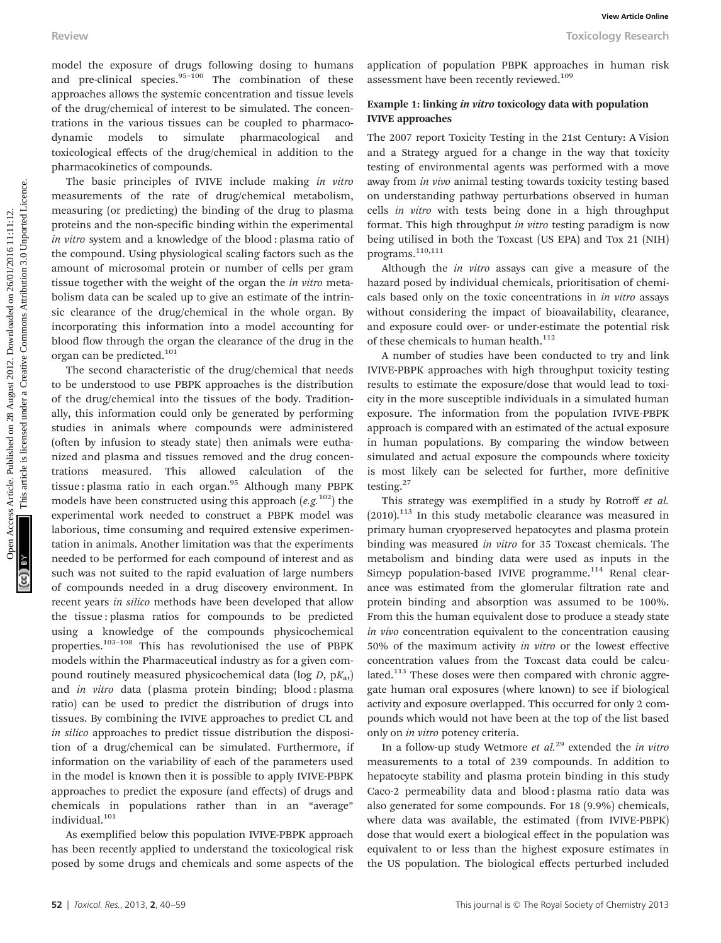model the exposure of drugs following dosing to humans and pre-clinical species. $95-100$  The combination of these approaches allows the systemic concentration and tissue levels of the drug/chemical of interest to be simulated. The concentrations in the various tissues can be coupled to pharmacodynamic models to simulate pharmacological and toxicological effects of the drug/chemical in addition to the pharmacokinetics of compounds.

The basic principles of IVIVE include making in vitro measurements of the rate of drug/chemical metabolism, measuring (or predicting) the binding of the drug to plasma proteins and the non-specific binding within the experimental in vitro system and a knowledge of the blood : plasma ratio of the compound. Using physiological scaling factors such as the amount of microsomal protein or number of cells per gram tissue together with the weight of the organ the in vitro metabolism data can be scaled up to give an estimate of the intrinsic clearance of the drug/chemical in the whole organ. By incorporating this information into a model accounting for blood flow through the organ the clearance of the drug in the organ can be predicted.<sup>101</sup>

The second characteristic of the drug/chemical that needs to be understood to use PBPK approaches is the distribution of the drug/chemical into the tissues of the body. Traditionally, this information could only be generated by performing studies in animals where compounds were administered (often by infusion to steady state) then animals were euthanized and plasma and tissues removed and the drug concentrations measured. This allowed calculation of the tissue : plasma ratio in each organ. $95$  Although many PBPK models have been constructed using this approach  $(e.g.<sup>102</sup>)$  the experimental work needed to construct a PBPK model was laborious, time consuming and required extensive experimentation in animals. Another limitation was that the experiments needed to be performed for each compound of interest and as such was not suited to the rapid evaluation of large numbers of compounds needed in a drug discovery environment. In recent years in silico methods have been developed that allow the tissue : plasma ratios for compounds to be predicted using a knowledge of the compounds physicochemical properties.103–<sup>108</sup> This has revolutionised the use of PBPK models within the Pharmaceutical industry as for a given compound routinely measured physicochemical data (log  $D$ , p $K_{a}$ ) and in vitro data (plasma protein binding; blood : plasma ratio) can be used to predict the distribution of drugs into tissues. By combining the IVIVE approaches to predict CL and in silico approaches to predict tissue distribution the disposition of a drug/chemical can be simulated. Furthermore, if information on the variability of each of the parameters used in the model is known then it is possible to apply IVIVE-PBPK approaches to predict the exposure (and effects) of drugs and chemicals in populations rather than in an "average" individual.<sup>101</sup> Review Tooleow Tooleow article on 28 August 2012. The contrast Article is licensed on 28 August 2012. This are the control to the second the second with the control to the second with the control to the control to the cont

As exemplified below this population IVIVE-PBPK approach has been recently applied to understand the toxicological risk posed by some drugs and chemicals and some aspects of the

application of population PBPK approaches in human risk assessment have been recently reviewed.<sup>109</sup>

#### Example 1: linking in vitro toxicology data with population IVIVE approaches

The 2007 report Toxicity Testing in the 21st Century: A Vision and a Strategy argued for a change in the way that toxicity testing of environmental agents was performed with a move away from in vivo animal testing towards toxicity testing based on understanding pathway perturbations observed in human cells in vitro with tests being done in a high throughput format. This high throughput in vitro testing paradigm is now being utilised in both the Toxcast (US EPA) and Tox 21 (NIH) programs.<sup>110,111</sup>

Although the in vitro assays can give a measure of the hazard posed by individual chemicals, prioritisation of chemicals based only on the toxic concentrations in in vitro assays without considering the impact of bioavailability, clearance, and exposure could over- or under-estimate the potential risk of these chemicals to human health. $112$ 

A number of studies have been conducted to try and link IVIVE-PBPK approaches with high throughput toxicity testing results to estimate the exposure/dose that would lead to toxicity in the more susceptible individuals in a simulated human exposure. The information from the population IVIVE-PBPK approach is compared with an estimated of the actual exposure in human populations. By comparing the window between simulated and actual exposure the compounds where toxicity is most likely can be selected for further, more definitive testing.<sup>27</sup>

This strategy was exemplified in a study by Rotroff et al.  $(2010).$ <sup>113</sup> In this study metabolic clearance was measured in primary human cryopreserved hepatocytes and plasma protein binding was measured in vitro for 35 Toxcast chemicals. The metabolism and binding data were used as inputs in the Simcyp population-based IVIVE programme. $114$  Renal clearance was estimated from the glomerular filtration rate and protein binding and absorption was assumed to be 100%. From this the human equivalent dose to produce a steady state in vivo concentration equivalent to the concentration causing 50% of the maximum activity in vitro or the lowest effective concentration values from the Toxcast data could be calculated.<sup>113</sup> These doses were then compared with chronic aggregate human oral exposures (where known) to see if biological activity and exposure overlapped. This occurred for only 2 compounds which would not have been at the top of the list based only on in vitro potency criteria.

In a follow-up study Wetmore et  $al.^{29}$  extended the in vitro measurements to a total of 239 compounds. In addition to hepatocyte stability and plasma protein binding in this study Caco-2 permeability data and blood : plasma ratio data was also generated for some compounds. For 18 (9.9%) chemicals, where data was available, the estimated (from IVIVE-PBPK) dose that would exert a biological effect in the population was equivalent to or less than the highest exposure estimates in the US population. The biological effects perturbed included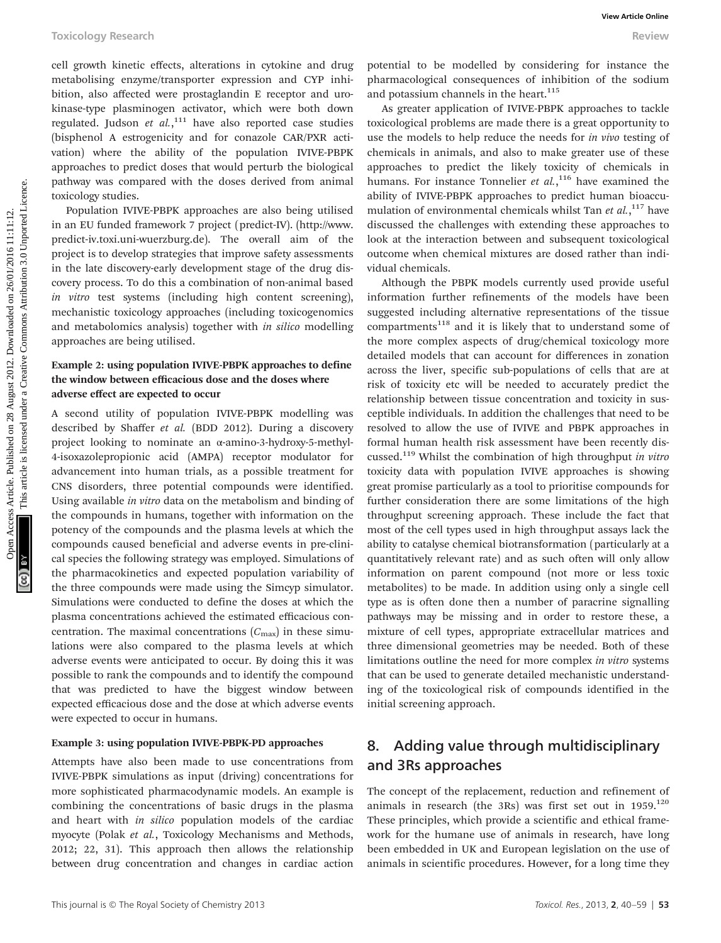cell growth kinetic effects, alterations in cytokine and drug metabolising enzyme/transporter expression and CYP inhibition, also affected were prostaglandin E receptor and urokinase-type plasminogen activator, which were both down regulated. Judson et  $al$ ,  $111$  have also reported case studies (bisphenol A estrogenicity and for conazole CAR/PXR activation) where the ability of the population IVIVE-PBPK approaches to predict doses that would perturb the biological pathway was compared with the doses derived from animal toxicology studies.

Population IVIVE-PBPK approaches are also being utilised in an EU funded framework 7 project (predict-IV). (http://www. predict-iv.toxi.uni-wuerzburg.de). The overall aim of the project is to develop strategies that improve safety assessments in the late discovery-early development stage of the drug discovery process. To do this a combination of non-animal based in vitro test systems (including high content screening), mechanistic toxicology approaches (including toxicogenomics and metabolomics analysis) together with in silico modelling approaches are being utilised.

### Example 2: using population IVIVE-PBPK approaches to define the window between efficacious dose and the doses where adverse effect are expected to occur

A second utility of population IVIVE-PBPK modelling was described by Shaffer et al. (BDD 2012). During a discovery project looking to nominate an α-amino-3-hydroxy-5-methyl-4-isoxazolepropionic acid (AMPA) receptor modulator for advancement into human trials, as a possible treatment for CNS disorders, three potential compounds were identified. Using available in vitro data on the metabolism and binding of the compounds in humans, together with information on the potency of the compounds and the plasma levels at which the compounds caused beneficial and adverse events in pre-clinical species the following strategy was employed. Simulations of the pharmacokinetics and expected population variability of the three compounds were made using the Simcyp simulator. Simulations were conducted to define the doses at which the plasma concentrations achieved the estimated efficacious concentration. The maximal concentrations  $(C_{\text{max}})$  in these simulations were also compared to the plasma levels at which adverse events were anticipated to occur. By doing this it was possible to rank the compounds and to identify the compound that was predicted to have the biggest window between expected efficacious dose and the dose at which adverse events were expected to occur in humans.

#### Example 3: using population IVIVE-PBPK-PD approaches

Attempts have also been made to use concentrations from IVIVE-PBPK simulations as input (driving) concentrations for more sophisticated pharmacodynamic models. An example is combining the concentrations of basic drugs in the plasma and heart with in silico population models of the cardiac myocyte (Polak et al., Toxicology Mechanisms and Methods, 2012; 22, 31). This approach then allows the relationship between drug concentration and changes in cardiac action

potential to be modelled by considering for instance the pharmacological consequences of inhibition of the sodium and potassium channels in the heart.<sup>115</sup>

As greater application of IVIVE-PBPK approaches to tackle toxicological problems are made there is a great opportunity to use the models to help reduce the needs for in vivo testing of chemicals in animals, and also to make greater use of these approaches to predict the likely toxicity of chemicals in humans. For instance Tonnelier et  $al$ ,<sup>116</sup> have examined the ability of IVIVE-PBPK approaches to predict human bioaccumulation of environmental chemicals whilst Tan et al.,<sup>117</sup> have discussed the challenges with extending these approaches to look at the interaction between and subsequent toxicological outcome when chemical mixtures are dosed rather than individual chemicals.

Although the PBPK models currently used provide useful information further refinements of the models have been suggested including alternative representations of the tissue compartments<sup>118</sup> and it is likely that to understand some of the more complex aspects of drug/chemical toxicology more detailed models that can account for differences in zonation across the liver, specific sub-populations of cells that are at risk of toxicity etc will be needed to accurately predict the relationship between tissue concentration and toxicity in susceptible individuals. In addition the challenges that need to be resolved to allow the use of IVIVE and PBPK approaches in formal human health risk assessment have been recently discussed.<sup>119</sup> Whilst the combination of high throughput in vitro toxicity data with population IVIVE approaches is showing great promise particularly as a tool to prioritise compounds for further consideration there are some limitations of the high throughput screening approach. These include the fact that most of the cell types used in high throughput assays lack the ability to catalyse chemical biotransformation (particularly at a quantitatively relevant rate) and as such often will only allow information on parent compound (not more or less toxic metabolites) to be made. In addition using only a single cell type as is often done then a number of paracrine signalling pathways may be missing and in order to restore these, a mixture of cell types, appropriate extracellular matrices and three dimensional geometries may be needed. Both of these limitations outline the need for more complex in vitro systems that can be used to generate detailed mechanistic understanding of the toxicological risk of compounds identified in the initial screening approach. Tookology Research was the continue on 2012. The model of the model of the model of the model of the model on 2012. Downloaded the common of the submitted on 2012. The common of the submitted in the submitted in the common

### 8. Adding value through multidisciplinary and 3Rs approaches

The concept of the replacement, reduction and refinement of animals in research (the 3Rs) was first set out in  $1959$ .<sup>120</sup> These principles, which provide a scientific and ethical framework for the humane use of animals in research, have long been embedded in UK and European legislation on the use of animals in scientific procedures. However, for a long time they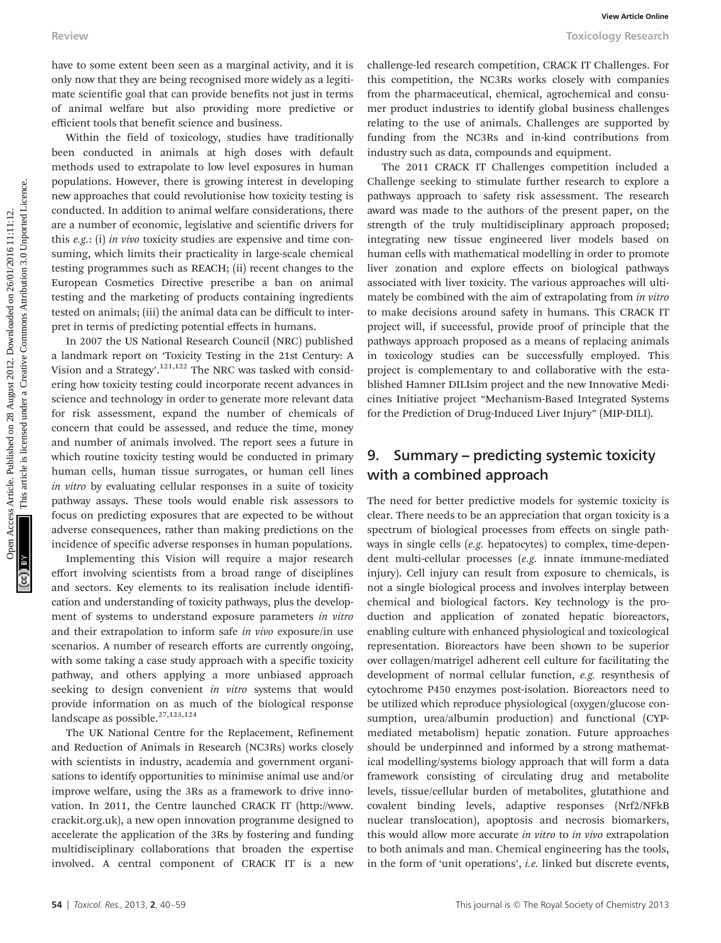have to some extent been seen as a marginal activity, and it is only now that they are being recognised more widely as a legitimate scientific goal that can provide benefits not just in terms of animal welfare but also providing more predictive or efficient tools that benefit science and business.

Within the field of toxicology, studies have traditionally been conducted in animals at high doses with default methods used to extrapolate to low level exposures in human populations. However, there is growing interest in developing new approaches that could revolutionise how toxicity testing is conducted. In addition to animal welfare considerations, there are a number of economic, legislative and scientific drivers for this e.g.: (i) in vivo toxicity studies are expensive and time consuming, which limits their practicality in large-scale chemical testing programmes such as REACH; (ii) recent changes to the European Cosmetics Directive prescribe a ban on animal testing and the marketing of products containing ingredients tested on animals; (iii) the animal data can be difficult to interpret in terms of predicting potential effects in humans.

In 2007 the US National Research Council (NRC) published a landmark report on 'Toxicity Testing in the 21st Century: A Vision and a Strategy'.<sup>121,122</sup> The NRC was tasked with considering how toxicity testing could incorporate recent advances in science and technology in order to generate more relevant data for risk assessment, expand the number of chemicals of concern that could be assessed, and reduce the time, money and number of animals involved. The report sees a future in which routine toxicity testing would be conducted in primary human cells, human tissue surrogates, or human cell lines in vitro by evaluating cellular responses in a suite of toxicity pathway assays. These tools would enable risk assessors to focus on predicting exposures that are expected to be without adverse consequences, rather than making predictions on the incidence of specific adverse responses in human populations.

Implementing this Vision will require a major research effort involving scientists from a broad range of disciplines and sectors. Key elements to its realisation include identification and understanding of toxicity pathways, plus the development of systems to understand exposure parameters in vitro and their extrapolation to inform safe in vivo exposure/in use scenarios. A number of research efforts are currently ongoing, with some taking a case study approach with a specific toxicity pathway, and others applying a more unbiased approach seeking to design convenient in vitro systems that would provide information on as much of the biological response landscape as possible.<sup>27,123,124</sup>

The UK National Centre for the Replacement, Refinement and Reduction of Animals in Research (NC3Rs) works closely with scientists in industry, academia and government organisations to identify opportunities to minimise animal use and/or improve welfare, using the 3Rs as a framework to drive innovation. In 2011, the Centre launched CRACK IT (http://www. crackit.org.uk), a new open innovation programme designed to accelerate the application of the 3Rs by fostering and funding multidisciplinary collaborations that broaden the expertise involved. A central component of CRACK IT is a new

challenge-led research competition, CRACK IT Challenges. For this competition, the NC3Rs works closely with companies from the pharmaceutical, chemical, agrochemical and consumer product industries to identify global business challenges relating to the use of animals. Challenges are supported by funding from the NC3Rs and in-kind contributions from industry such as data, compounds and equipment.

The 2011 CRACK IT Challenges competition included a Challenge seeking to stimulate further research to explore a pathways approach to safety risk assessment. The research award was made to the authors of the present paper, on the strength of the truly multidisciplinary approach proposed; integrating new tissue engineered liver models based on human cells with mathematical modelling in order to promote liver zonation and explore effects on biological pathways associated with liver toxicity. The various approaches will ultimately be combined with the aim of extrapolating from *in vitro* to make decisions around safety in humans. This CRACK IT project will, if successful, provide proof of principle that the pathways approach proposed as a means of replacing animals in toxicology studies can be successfully employed. This project is complementary to and collaborative with the established Hamner DILIsim project and the new Innovative Medicines Initiative project "Mechanism-Based Integrated Systems for the Prediction of Drug-Induced Liver Injury" (MIP-DILI). Review Towore was a marginal accivity, and it is challengeded research competition, CRACK PT Challenges. Downloaded the particle is article. The computer of the results of the source are the source are the source of the so

### 9. Summary – predicting systemic toxicity with a combined approach

The need for better predictive models for systemic toxicity is clear. There needs to be an appreciation that organ toxicity is a spectrum of biological processes from effects on single pathways in single cells (e.g. hepatocytes) to complex, time-dependent multi-cellular processes (e.g. innate immune-mediated injury). Cell injury can result from exposure to chemicals, is not a single biological process and involves interplay between chemical and biological factors. Key technology is the production and application of zonated hepatic bioreactors, enabling culture with enhanced physiological and toxicological representation. Bioreactors have been shown to be superior over collagen/matrigel adherent cell culture for facilitating the development of normal cellular function, e.g. resynthesis of cytochrome P450 enzymes post-isolation. Bioreactors need to be utilized which reproduce physiological (oxygen/glucose consumption, urea/albumin production) and functional (CYPmediated metabolism) hepatic zonation. Future approaches should be underpinned and informed by a strong mathematical modelling/systems biology approach that will form a data framework consisting of circulating drug and metabolite levels, tissue/cellular burden of metabolites, glutathione and covalent binding levels, adaptive responses (Nrf2/NFkB nuclear translocation), apoptosis and necrosis biomarkers, this would allow more accurate in vitro to in vivo extrapolation to both animals and man. Chemical engineering has the tools, in the form of 'unit operations', i.e. linked but discrete events,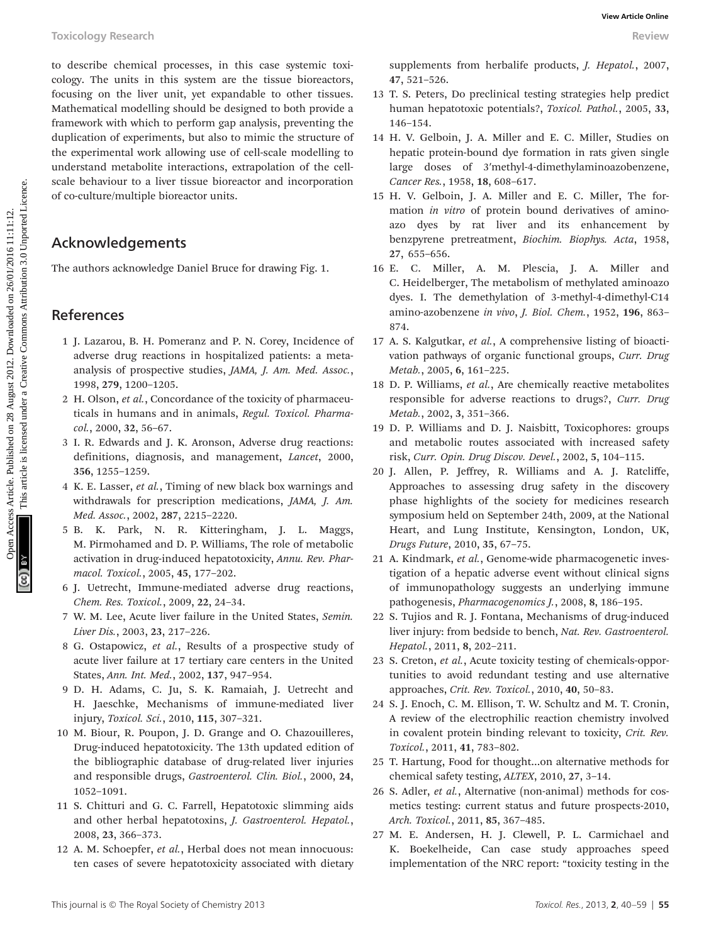to describe chemical processes, in this case systemic toxicology. The units in this system are the tissue bioreactors, focusing on the liver unit, yet expandable to other tissues. Mathematical modelling should be designed to both provide a framework with which to perform gap analysis, preventing the duplication of experiments, but also to mimic the structure of the experimental work allowing use of cell-scale modelling to understand metabolite interactions, extrapolation of the cellscale behaviour to a liver tissue bioreactor and incorporation of co-culture/multiple bioreactor units. Toxicology Research **access Article case are the internal case are the internal case are the internal case.** The units in this case of the internal case of the internal case of the internal case of the internal case of th

### Acknowledgements

The authors acknowledge Daniel Bruce for drawing Fig. 1.

### References

- 1 J. Lazarou, B. H. Pomeranz and P. N. Corey, Incidence of adverse drug reactions in hospitalized patients: a metaanalysis of prospective studies, JAMA, J. Am. Med. Assoc., 1998, 279, 1200–1205.
- 2 H. Olson, et al., Concordance of the toxicity of pharmaceuticals in humans and in animals, Regul. Toxicol. Pharmacol., 2000, 32, 56–67.
- 3 I. R. Edwards and J. K. Aronson, Adverse drug reactions: definitions, diagnosis, and management, Lancet, 2000, 356, 1255–1259.
- 4 K. E. Lasser, et al., Timing of new black box warnings and withdrawals for prescription medications, JAMA, J. Am. Med. Assoc., 2002, 287, 2215–2220.
- 5 B. K. Park, N. R. Kitteringham, J. L. Maggs, M. Pirmohamed and D. P. Williams, The role of metabolic activation in drug-induced hepatotoxicity, Annu. Rev. Pharmacol. Toxicol., 2005, 45, 177–202.
- 6 J. Uetrecht, Immune-mediated adverse drug reactions, Chem. Res. Toxicol., 2009, 22, 24–34.
- 7 W. M. Lee, Acute liver failure in the United States, Semin. Liver Dis., 2003, 23, 217–226.
- 8 G. Ostapowicz, et al., Results of a prospective study of acute liver failure at 17 tertiary care centers in the United States, Ann. Int. Med., 2002, 137, 947–954.
- 9 D. H. Adams, C. Ju, S. K. Ramaiah, J. Uetrecht and H. Jaeschke, Mechanisms of immune-mediated liver injury, Toxicol. Sci., 2010, 115, 307–321.
- 10 M. Biour, R. Poupon, J. D. Grange and O. Chazouilleres, Drug-induced hepatotoxicity. The 13th updated edition of the bibliographic database of drug-related liver injuries and responsible drugs, Gastroenterol. Clin. Biol., 2000, 24, 1052–1091.
- 11 S. Chitturi and G. C. Farrell, Hepatotoxic slimming aids and other herbal hepatotoxins, J. Gastroenterol. Hepatol., 2008, 23, 366–373.
- 12 A. M. Schoepfer, et al., Herbal does not mean innocuous: ten cases of severe hepatotoxicity associated with dietary

supplements from herbalife products, J. Hepatol., 2007, 47, 521–526.

- 13 T. S. Peters, Do preclinical testing strategies help predict human hepatotoxic potentials?, Toxicol. Pathol., 2005, 33, 146–154.
- 14 H. V. Gelboin, J. A. Miller and E. C. Miller, Studies on hepatic protein-bound dye formation in rats given single large doses of 3′methyl-4-dimethylaminoazobenzene, Cancer Res., 1958, 18, 608–617.
- 15 H. V. Gelboin, J. A. Miller and E. C. Miller, The formation in vitro of protein bound derivatives of aminoazo dyes by rat liver and its enhancement by benzpyrene pretreatment, Biochim. Biophys. Acta, 1958, 27, 655–656.
- 16 E. C. Miller, A. M. Plescia, J. A. Miller and C. Heidelberger, The metabolism of methylated aminoazo dyes. I. The demethylation of 3-methyl-4-dimethyl-C14 amino-azobenzene in vivo, J. Biol. Chem., 1952, 196, 863– 874.
- 17 A. S. Kalgutkar, et al., A comprehensive listing of bioactivation pathways of organic functional groups, Curr. Drug Metab., 2005, 6, 161–225.
- 18 D. P. Williams, et al., Are chemically reactive metabolites responsible for adverse reactions to drugs?, Curr. Drug Metab., 2002, 3, 351–366.
- 19 D. P. Williams and D. J. Naisbitt, Toxicophores: groups and metabolic routes associated with increased safety risk, Curr. Opin. Drug Discov. Devel., 2002, 5, 104–115.
- 20 J. Allen, P. Jeffrey, R. Williams and A. J. Ratcliffe, Approaches to assessing drug safety in the discovery phase highlights of the society for medicines research symposium held on September 24th, 2009, at the National Heart, and Lung Institute, Kensington, London, UK, Drugs Future, 2010, 35, 67–75.
- 21 A. Kindmark, et al., Genome-wide pharmacogenetic investigation of a hepatic adverse event without clinical signs of immunopathology suggests an underlying immune pathogenesis, Pharmacogenomics J., 2008, 8, 186–195.
- 22 S. Tujios and R. J. Fontana, Mechanisms of drug-induced liver injury: from bedside to bench, Nat. Rev. Gastroenterol. Hepatol., 2011, 8, 202–211.
- 23 S. Creton, et al., Acute toxicity testing of chemicals-opportunities to avoid redundant testing and use alternative approaches, Crit. Rev. Toxicol., 2010, 40, 50–83.
- 24 S. J. Enoch, C. M. Ellison, T. W. Schultz and M. T. Cronin, A review of the electrophilic reaction chemistry involved in covalent protein binding relevant to toxicity, Crit. Rev. Toxicol., 2011, 41, 783–802.
- 25 T. Hartung, Food for thought…on alternative methods for chemical safety testing, ALTEX, 2010, 27, 3–14.
- 26 S. Adler, et al., Alternative (non-animal) methods for cosmetics testing: current status and future prospects-2010, Arch. Toxicol., 2011, 85, 367–485.
- 27 M. E. Andersen, H. J. Clewell, P. L. Carmichael and K. Boekelheide, Can case study approaches speed implementation of the NRC report: "toxicity testing in the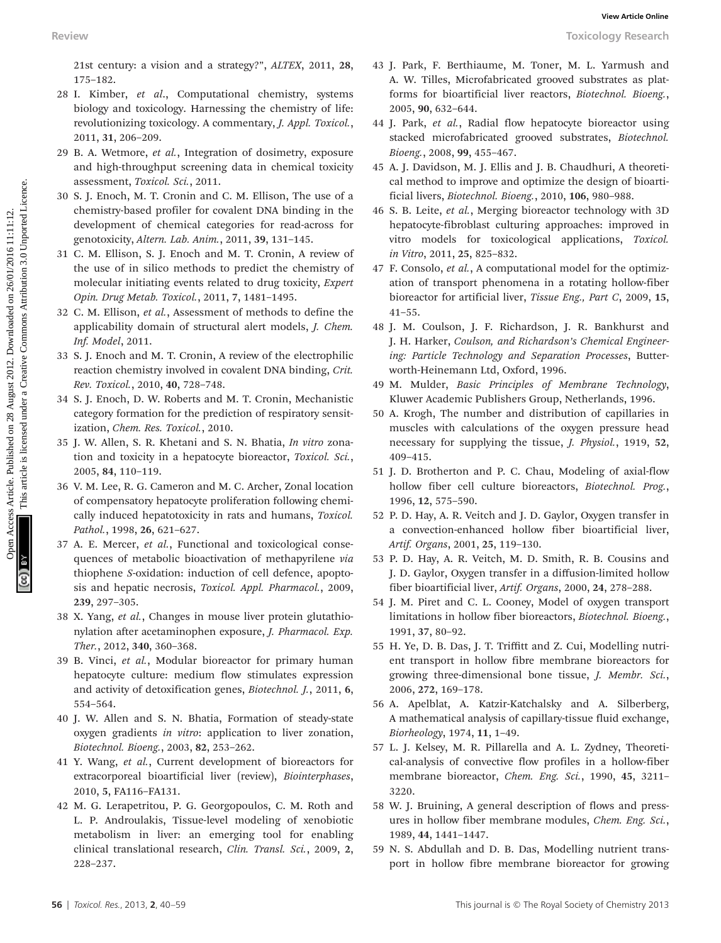21st century: a vision and a strategy?", ALTEX, 2011, 28, 175–182.

- 28 I. Kimber, et al., Computational chemistry, systems biology and toxicology. Harnessing the chemistry of life: revolutionizing toxicology. A commentary, J. Appl. Toxicol., 2011, 31, 206–209. Review Total computes articles. Article is a strategy, a strategy, a strategy article is a proportional computation of densition as plus are the strategy article is a plus of the strategy article is linear an elements are
	- 29 B. A. Wetmore, et al., Integration of dosimetry, exposure and high-throughput screening data in chemical toxicity assessment, Toxicol. Sci., 2011.
	- 30 S. J. Enoch, M. T. Cronin and C. M. Ellison, The use of a chemistry-based profiler for covalent DNA binding in the development of chemical categories for read-across for genotoxicity, Altern. Lab. Anim., 2011, 39, 131–145.
	- 31 C. M. Ellison, S. J. Enoch and M. T. Cronin, A review of the use of in silico methods to predict the chemistry of molecular initiating events related to drug toxicity, Expert Opin. Drug Metab. Toxicol., 2011, 7, 1481–1495.
	- 32 C. M. Ellison, et al., Assessment of methods to define the applicability domain of structural alert models, J. Chem. Inf. Model, 2011.
	- 33 S. J. Enoch and M. T. Cronin, A review of the electrophilic reaction chemistry involved in covalent DNA binding, Crit. Rev. Toxicol., 2010, 40, 728–748.
	- 34 S. J. Enoch, D. W. Roberts and M. T. Cronin, Mechanistic category formation for the prediction of respiratory sensitization, Chem. Res. Toxicol., 2010.
	- 35 J. W. Allen, S. R. Khetani and S. N. Bhatia, In vitro zonation and toxicity in a hepatocyte bioreactor, Toxicol. Sci., 2005, 84, 110–119.
	- 36 V. M. Lee, R. G. Cameron and M. C. Archer, Zonal location of compensatory hepatocyte proliferation following chemically induced hepatotoxicity in rats and humans, Toxicol. Pathol., 1998, 26, 621–627.
	- 37 A. E. Mercer, et al., Functional and toxicological consequences of metabolic bioactivation of methapyrilene via thiophene S-oxidation: induction of cell defence, apoptosis and hepatic necrosis, Toxicol. Appl. Pharmacol., 2009, 239, 297–305.
	- 38 X. Yang, et al., Changes in mouse liver protein glutathionylation after acetaminophen exposure, J. Pharmacol. Exp. Ther., 2012, 340, 360–368.
	- 39 B. Vinci, et al., Modular bioreactor for primary human hepatocyte culture: medium flow stimulates expression and activity of detoxification genes, Biotechnol. J., 2011, 6, 554–564.
	- 40 J. W. Allen and S. N. Bhatia, Formation of steady-state oxygen gradients in vitro: application to liver zonation, Biotechnol. Bioeng., 2003, 82, 253–262.
	- 41 Y. Wang, et al., Current development of bioreactors for extracorporeal bioartificial liver (review), Biointerphases, 2010, 5, FA116–FA131.
	- 42 M. G. Lerapetritou, P. G. Georgopoulos, C. M. Roth and L. P. Androulakis, Tissue-level modeling of xenobiotic metabolism in liver: an emerging tool for enabling clinical translational research, Clin. Transl. Sci., 2009, 2, 228–237.
- 43 J. Park, F. Berthiaume, M. Toner, M. L. Yarmush and A. W. Tilles, Microfabricated grooved substrates as platforms for bioartificial liver reactors, Biotechnol. Bioeng., 2005, 90, 632–644.
- 44 J. Park, et al., Radial flow hepatocyte bioreactor using stacked microfabricated grooved substrates, Biotechnol. Bioeng., 2008, 99, 455–467.
- 45 A. J. Davidson, M. J. Ellis and J. B. Chaudhuri, A theoretical method to improve and optimize the design of bioartificial livers, Biotechnol. Bioeng., 2010, 106, 980–988.
- 46 S. B. Leite, et al., Merging bioreactor technology with 3D hepatocyte-fibroblast culturing approaches: improved in vitro models for toxicological applications, Toxicol. in Vitro, 2011, 25, 825–832.
- 47 F. Consolo, et al., A computational model for the optimization of transport phenomena in a rotating hollow-fiber bioreactor for artificial liver, Tissue Eng., Part C, 2009, 15, 41–55.
- 48 J. M. Coulson, J. F. Richardson, J. R. Bankhurst and J. H. Harker, Coulson, and Richardson's Chemical Engineering: Particle Technology and Separation Processes, Butterworth-Heinemann Ltd, Oxford, 1996.
- 49 M. Mulder, Basic Principles of Membrane Technology, Kluwer Academic Publishers Group, Netherlands, 1996.
- 50 A. Krogh, The number and distribution of capillaries in muscles with calculations of the oxygen pressure head necessary for supplying the tissue, J. Physiol., 1919, 52, 409–415.
- 51 J. D. Brotherton and P. C. Chau, Modeling of axial-flow hollow fiber cell culture bioreactors, Biotechnol. Prog., 1996, 12, 575–590.
- 52 P. D. Hay, A. R. Veitch and J. D. Gaylor, Oxygen transfer in a convection-enhanced hollow fiber bioartificial liver, Artif. Organs, 2001, 25, 119–130.
- 53 P. D. Hay, A. R. Veitch, M. D. Smith, R. B. Cousins and J. D. Gaylor, Oxygen transfer in a diffusion-limited hollow fiber bioartificial liver, Artif. Organs, 2000, 24, 278–288.
- 54 J. M. Piret and C. L. Cooney, Model of oxygen transport limitations in hollow fiber bioreactors, Biotechnol. Bioeng., 1991, 37, 80–92.
- 55 H. Ye, D. B. Das, J. T. Triffitt and Z. Cui, Modelling nutrient transport in hollow fibre membrane bioreactors for growing three-dimensional bone tissue, J. Membr. Sci., 2006, 272, 169–178.
- 56 A. Apelblat, A. Katzir-Katchalsky and A. Silberberg, A mathematical analysis of capillary-tissue fluid exchange, Biorheology, 1974, 11, 1–49.
- 57 L. J. Kelsey, M. R. Pillarella and A. L. Zydney, Theoretical-analysis of convective flow profiles in a hollow-fiber membrane bioreactor, Chem. Eng. Sci., 1990, 45, 3211– 3220.
- 58 W. J. Bruining, A general description of flows and pressures in hollow fiber membrane modules, Chem. Eng. Sci., 1989, 44, 1441–1447.
- 59 N. S. Abdullah and D. B. Das, Modelling nutrient transport in hollow fibre membrane bioreactor for growing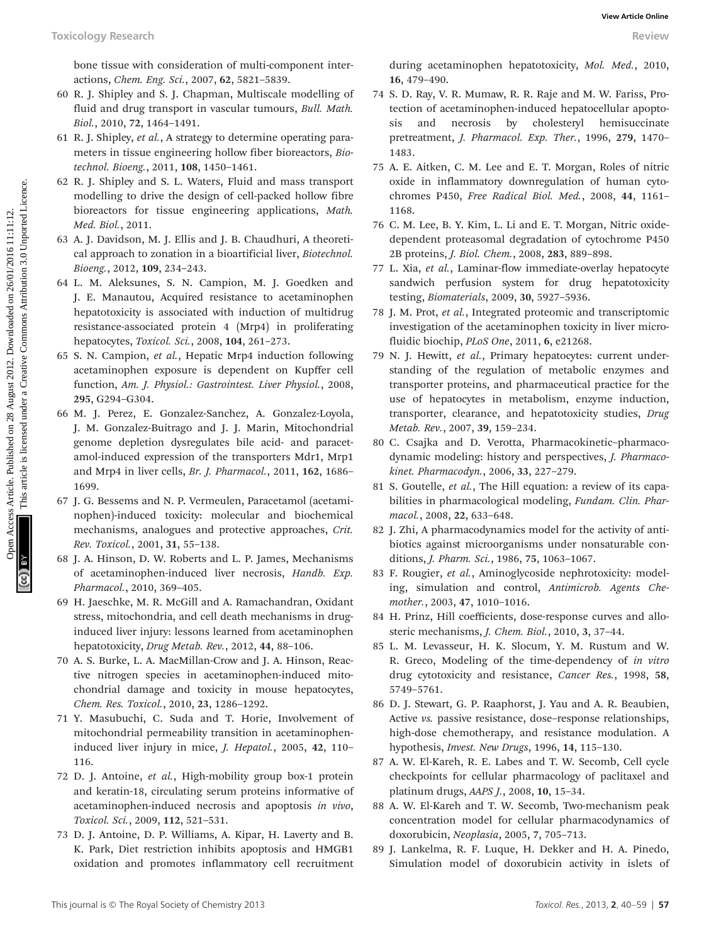bone tissue with consideration of multi-component interactions, Chem. Eng. Sci., 2007, 62, 5821–5839.

- 60 R. J. Shipley and S. J. Chapman, Multiscale modelling of fluid and drug transport in vascular tumours, Bull. Math. Biol., 2010, 72, 1464–1491.
- 61 R. J. Shipley, et al., A strategy to determine operating parameters in tissue engineering hollow fiber bioreactors, Biotechnol. Bioeng., 2011, 108, 1450–1461.
- 62 R. J. Shipley and S. L. Waters, Fluid and mass transport modelling to drive the design of cell-packed hollow fibre bioreactors for tissue engineering applications, Math. Med. Biol., 2011.
- 63 A. J. Davidson, M. J. Ellis and J. B. Chaudhuri, A theoretical approach to zonation in a bioartificial liver, Biotechnol. Bioeng., 2012, 109, 234–243.
- 64 L. M. Aleksunes, S. N. Campion, M. J. Goedken and J. E. Manautou, Acquired resistance to acetaminophen hepatotoxicity is associated with induction of multidrug resistance-associated protein 4 (Mrp4) in proliferating hepatocytes, Toxicol. Sci., 2008, 104, 261–273.
- 65 S. N. Campion, et al., Hepatic Mrp4 induction following acetaminophen exposure is dependent on Kupffer cell function, Am. J. Physiol.: Gastrointest. Liver Physiol., 2008, 295, G294–G304.
- 66 M. J. Perez, E. Gonzalez-Sanchez, A. Gonzalez-Loyola, J. M. Gonzalez-Buitrago and J. J. Marin, Mitochondrial genome depletion dysregulates bile acid- and paracetamol-induced expression of the transporters Mdr1, Mrp1 and Mrp4 in liver cells, Br. J. Pharmacol., 2011, 162, 1686– 1699.
- 67 J. G. Bessems and N. P. Vermeulen, Paracetamol (acetaminophen)-induced toxicity: molecular and biochemical mechanisms, analogues and protective approaches, Crit. Rev. Toxicol., 2001, 31, 55–138.
- 68 J. A. Hinson, D. W. Roberts and L. P. James, Mechanisms of acetaminophen-induced liver necrosis, Handb. Exp. Pharmacol., 2010, 369–405.
- 69 H. Jaeschke, M. R. McGill and A. Ramachandran, Oxidant stress, mitochondria, and cell death mechanisms in druginduced liver injury: lessons learned from acetaminophen hepatotoxicity, Drug Metab. Rev., 2012, 44, 88-106.
- 70 A. S. Burke, L. A. MacMillan-Crow and J. A. Hinson, Reactive nitrogen species in acetaminophen-induced mitochondrial damage and toxicity in mouse hepatocytes, Chem. Res. Toxicol., 2010, 23, 1286–1292.
- 71 Y. Masubuchi, C. Suda and T. Horie, Involvement of mitochondrial permeability transition in acetaminopheninduced liver injury in mice, J. Hepatol., 2005, 42, 110– 116.
- 72 D. J. Antoine, et al., High-mobility group box-1 protein and keratin-18, circulating serum proteins informative of acetaminophen-induced necrosis and apoptosis in vivo, Toxicol. Sci., 2009, 112, 521–531.
- 73 D. J. Antoine, D. P. Williams, A. Kipar, H. Laverty and B. K. Park, Diet restriction inhibits apoptosis and HMGB1 oxidation and promotes inflammatory cell recruitment

during acetaminophen hepatotoxicity, Mol. Med., 2010, 16, 479–490.

- 74 S. D. Ray, V. R. Mumaw, R. R. Raje and M. W. Fariss, Protection of acetaminophen-induced hepatocellular apoptosis and necrosis by cholesteryl hemisuccinate pretreatment, J. Pharmacol. Exp. Ther., 1996, 279, 1470– 1483.
- 75 A. E. Aitken, C. M. Lee and E. T. Morgan, Roles of nitric oxide in inflammatory downregulation of human cytochromes P450, Free Radical Biol. Med., 2008, 44, 1161– 1168.
- 76 C. M. Lee, B. Y. Kim, L. Li and E. T. Morgan, Nitric oxidedependent proteasomal degradation of cytochrome P450 2B proteins, J. Biol. Chem., 2008, 283, 889–898.
- 77 L. Xia, et al., Laminar-flow immediate-overlay hepatocyte sandwich perfusion system for drug hepatotoxicity testing, Biomaterials, 2009, 30, 5927–5936.
- 78 J. M. Prot, et al., Integrated proteomic and transcriptomic investigation of the acetaminophen toxicity in liver microfluidic biochip, PLoS One, 2011, 6, e21268.
- 79 N. J. Hewitt, et al., Primary hepatocytes: current understanding of the regulation of metabolic enzymes and transporter proteins, and pharmaceutical practice for the use of hepatocytes in metabolism, enzyme induction, transporter, clearance, and hepatotoxicity studies, Drug Metab. Rev., 2007, 39, 159–234. Toxicology Research **beach**, consideration of nutti-component intermulting on 2012. A consider a consideration in the set of the set of the set of the set of the set of the set of the set of the set of the set of the set
	- 80 C. Csajka and D. Verotta, Pharmacokinetic–pharmacodynamic modeling: history and perspectives, J. Pharmacokinet. Pharmacodyn., 2006, 33, 227–279.
	- 81 S. Goutelle, et al., The Hill equation: a review of its capabilities in pharmacological modeling, Fundam. Clin. Pharmacol., 2008, 22, 633–648.
	- 82 J. Zhi, A pharmacodynamics model for the activity of antibiotics against microorganisms under nonsaturable conditions, J. Pharm. Sci., 1986, 75, 1063–1067.
	- 83 F. Rougier, et al., Aminoglycoside nephrotoxicity: modeling, simulation and control, Antimicrob. Agents Chemother., 2003, 47, 1010–1016.
	- 84 H. Prinz, Hill coefficients, dose-response curves and allosteric mechanisms, J. Chem. Biol., 2010, 3, 37–44.
	- 85 L. M. Levasseur, H. K. Slocum, Y. M. Rustum and W. R. Greco, Modeling of the time-dependency of in vitro drug cytotoxicity and resistance, Cancer Res., 1998, 58, 5749–5761.
	- 86 D. J. Stewart, G. P. Raaphorst, J. Yau and A. R. Beaubien, Active vs. passive resistance, dose–response relationships, high-dose chemotherapy, and resistance modulation. A hypothesis, Invest. New Drugs, 1996, 14, 115–130.
	- 87 A. W. El-Kareh, R. E. Labes and T. W. Secomb, Cell cycle checkpoints for cellular pharmacology of paclitaxel and platinum drugs, AAPS J., 2008, 10, 15–34.
	- 88 A. W. El-Kareh and T. W. Secomb, Two-mechanism peak concentration model for cellular pharmacodynamics of doxorubicin, Neoplasia, 2005, 7, 705–713.
	- 89 J. Lankelma, R. F. Luque, H. Dekker and H. A. Pinedo, Simulation model of doxorubicin activity in islets of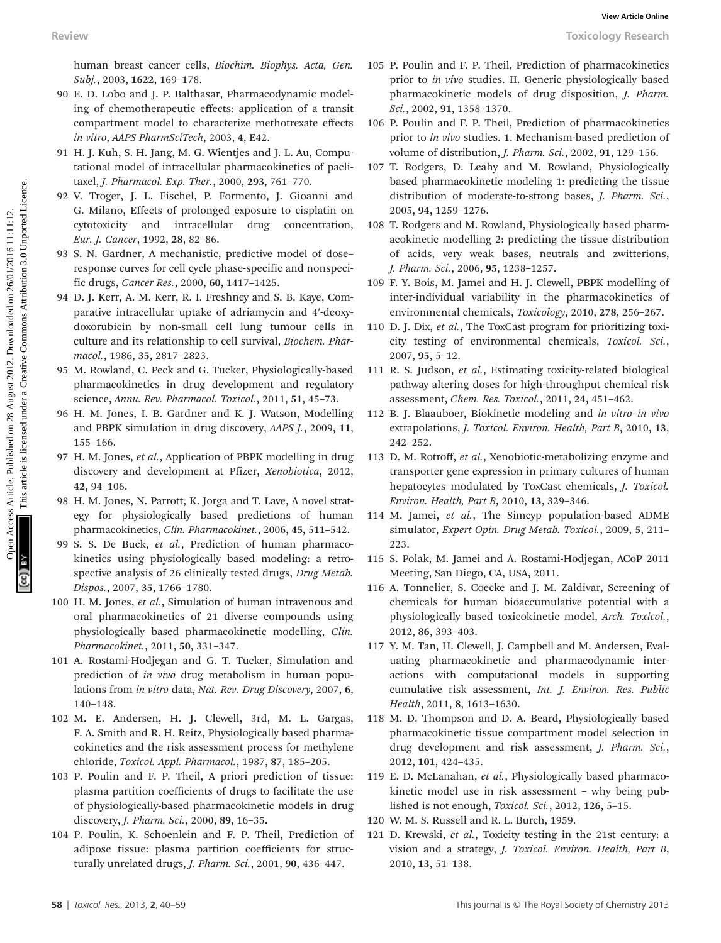human breast cancer cells, Biochim. Biophys. Acta, Gen. Subj., 2003, 1622, 169–178.

- 90 E. D. Lobo and J. P. Balthasar, Pharmacodynamic modeling of chemotherapeutic effects: application of a transit compartment model to characterize methotrexate effects in vitro, AAPS PharmSciTech, 2003, 4, E42.
- 91 H. J. Kuh, S. H. Jang, M. G. Wientjes and J. L. Au, Computational model of intracellular pharmacokinetics of paclitaxel, J. Pharmacol. Exp. Ther., 2000, 293, 761–770.
- 92 V. Troger, J. L. Fischel, P. Formento, J. Gioanni and G. Milano, Effects of prolonged exposure to cisplatin on cytotoxicity and intracellular drug concentration, Eur. J. Cancer, 1992, 28, 82–86.
- 93 S. N. Gardner, A mechanistic, predictive model of dose– response curves for cell cycle phase-specific and nonspecific drugs, Cancer Res., 2000, 60, 1417–1425.
- 94 D. J. Kerr, A. M. Kerr, R. I. Freshney and S. B. Kaye, Comparative intracellular uptake of adriamycin and 4′-deoxydoxorubicin by non-small cell lung tumour cells in culture and its relationship to cell survival, Biochem. Pharmacol., 1986, 35, 2817–2823. Review Towies Species Articles. Also<br>
Access Articles. Article is the common and Ex. The common and Ex. The common and Ex. The common article is licensed under the sole and the species are the specified under the specifie
	- 95 M. Rowland, C. Peck and G. Tucker, Physiologically-based pharmacokinetics in drug development and regulatory science, Annu. Rev. Pharmacol. Toxicol., 2011, 51, 45-73.
	- 96 H. M. Jones, I. B. Gardner and K. J. Watson, Modelling and PBPK simulation in drug discovery, AAPS J., 2009, 11, 155–166.
	- 97 H. M. Jones, et al., Application of PBPK modelling in drug discovery and development at Pfizer, Xenobiotica, 2012, 42, 94–106.
	- 98 H. M. Jones, N. Parrott, K. Jorga and T. Lave, A novel strategy for physiologically based predictions of human pharmacokinetics, Clin. Pharmacokinet., 2006, 45, 511–542.
	- 99 S. S. De Buck, et al., Prediction of human pharmacokinetics using physiologically based modeling: a retrospective analysis of 26 clinically tested drugs, Drug Metab. Dispos., 2007, 35, 1766–1780.
	- 100 H. M. Jones, et al., Simulation of human intravenous and oral pharmacokinetics of 21 diverse compounds using physiologically based pharmacokinetic modelling, Clin. Pharmacokinet., 2011, 50, 331–347.
	- 101 A. Rostami-Hodjegan and G. T. Tucker, Simulation and prediction of in vivo drug metabolism in human populations from in vitro data, Nat. Rev. Drug Discovery, 2007, 6, 140–148.
	- 102 M. E. Andersen, H. J. Clewell, 3rd, M. L. Gargas, F. A. Smith and R. H. Reitz, Physiologically based pharmacokinetics and the risk assessment process for methylene chloride, Toxicol. Appl. Pharmacol., 1987, 87, 185–205.
	- 103 P. Poulin and F. P. Theil, A priori prediction of tissue: plasma partition coefficients of drugs to facilitate the use of physiologically-based pharmacokinetic models in drug discovery, J. Pharm. Sci., 2000, 89, 16–35.
	- 104 P. Poulin, K. Schoenlein and F. P. Theil, Prediction of adipose tissue: plasma partition coefficients for structurally unrelated drugs, J. Pharm. Sci., 2001, 90, 436-447.
- 105 P. Poulin and F. P. Theil, Prediction of pharmacokinetics prior to in vivo studies. II. Generic physiologically based pharmacokinetic models of drug disposition, J. Pharm. Sci., 2002, 91, 1358–1370.
- 106 P. Poulin and F. P. Theil, Prediction of pharmacokinetics prior to in vivo studies. 1. Mechanism-based prediction of volume of distribution, J. Pharm. Sci., 2002, 91, 129–156.
- 107 T. Rodgers, D. Leahy and M. Rowland, Physiologically based pharmacokinetic modeling 1: predicting the tissue distribution of moderate-to-strong bases, J. Pharm. Sci., 2005, 94, 1259–1276.
- 108 T. Rodgers and M. Rowland, Physiologically based pharmacokinetic modelling 2: predicting the tissue distribution of acids, very weak bases, neutrals and zwitterions, J. Pharm. Sci., 2006, 95, 1238–1257.
- 109 F. Y. Bois, M. Jamei and H. J. Clewell, PBPK modelling of inter-individual variability in the pharmacokinetics of environmental chemicals, Toxicology, 2010, 278, 256–267.
- 110 D. J. Dix, et al., The ToxCast program for prioritizing toxicity testing of environmental chemicals, Toxicol. Sci., 2007, 95, 5–12.
- 111 R. S. Judson, et al., Estimating toxicity-related biological pathway altering doses for high-throughput chemical risk assessment, Chem. Res. Toxicol., 2011, 24, 451–462.
- 112 B. J. Blaauboer, Biokinetic modeling and in vitro–in vivo extrapolations, J. Toxicol. Environ. Health, Part B, 2010, 13, 242–252.
- 113 D. M. Rotroff, et al., Xenobiotic-metabolizing enzyme and transporter gene expression in primary cultures of human hepatocytes modulated by ToxCast chemicals, J. Toxicol. Environ. Health, Part B, 2010, 13, 329–346.
- 114 M. Jamei, et al., The Simcyp population-based ADME simulator, Expert Opin. Drug Metab. Toxicol., 2009, 5, 211– 223.
- 115 S. Polak, M. Jamei and A. Rostami-Hodjegan, ACoP 2011 Meeting, San Diego, CA, USA, 2011.
- 116 A. Tonnelier, S. Coecke and J. M. Zaldivar, Screening of chemicals for human bioaccumulative potential with a physiologically based toxicokinetic model, Arch. Toxicol., 2012, 86, 393–403.
- 117 Y. M. Tan, H. Clewell, J. Campbell and M. Andersen, Evaluating pharmacokinetic and pharmacodynamic interactions with computational models in supporting cumulative risk assessment, Int. J. Environ. Res. Public Health, 2011, 8, 1613–1630.
- 118 M. D. Thompson and D. A. Beard, Physiologically based pharmacokinetic tissue compartment model selection in drug development and risk assessment, J. Pharm. Sci., 2012, 101, 424–435.
- 119 E. D. McLanahan, et al., Physiologically based pharmacokinetic model use in risk assessment – why being published is not enough, Toxicol. Sci., 2012, 126, 5-15.
- 120 W. M. S. Russell and R. L. Burch, 1959.
- 121 D. Krewski, et al., Toxicity testing in the 21st century: a vision and a strategy, J. Toxicol. Environ. Health, Part B, 2010, 13, 51–138.